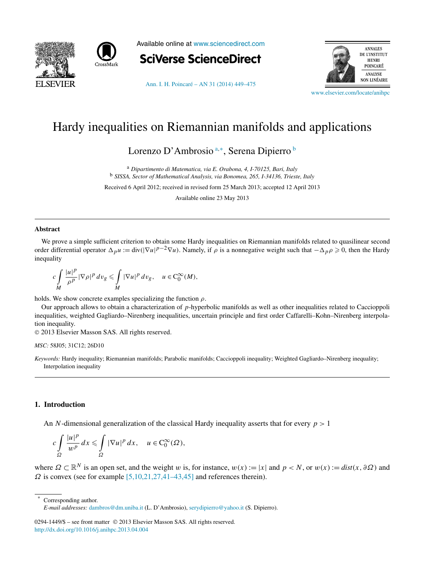



Available online at [www.sciencedirect.com](http://www.sciencedirect.com)



[Ann. I. H. Poincaré – AN 31 \(2014\) 449–475](http://dx.doi.org/10.1016/j.anihpc.2013.04.004)



[www.elsevier.com/locate/anihpc](http://www.elsevier.com/locate/anihpc)

# Hardy inequalities on Riemannian manifolds and applications

Lorenzo D'Ambrosio<sup>a,∗</sup>, Serena Dipierro <sup>b</sup>

<sup>a</sup> *Dipartimento di Matematica, via E. Orabona, 4, I-70125, Bari, Italy* <sup>b</sup> *SISSA, Sector of Mathematical Analysis, via Bonomea, 265, I-34136, Trieste, Italy*

Received 6 April 2012; received in revised form 25 March 2013; accepted 12 April 2013

Available online 23 May 2013

## **Abstract**

We prove a simple sufficient criterion to obtain some Hardy inequalities on Riemannian manifolds related to quasilinear second order differential operator  $\Delta_p u := \text{div}(|\nabla u|^{p-2} \nabla u)$ . Namely, if  $\rho$  is a nonnegative weight such that  $-\Delta_p \rho \geq 0$ , then the Hardy inequality

$$
c\int\limits_{M}\frac{|u|^p}{\rho^p}|\nabla\rho|^p\,dv_g\leq \int\limits_{M}|\nabla u|^p\,dv_g,\quad u\in C_0^\infty(M),
$$

holds. We show concrete examples specializing the function *ρ*.

Our approach allows to obtain a characterization of *p*-hyperbolic manifolds as well as other inequalities related to Caccioppoli inequalities, weighted Gagliardo–Nirenberg inequalities, uncertain principle and first order Caffarelli–Kohn–Nirenberg interpolation inequality.

© 2013 Elsevier Masson SAS. All rights reserved.

#### *MSC:* 58J05; 31C12; 26D10

*Keywords:* Hardy inequality; Riemannian manifolds; Parabolic manifolds; Caccioppoli inequality; Weighted Gagliardo–Nirenberg inequality; Interpolation inequality

#### **1. Introduction**

An *N*-dimensional generalization of the classical Hardy inequality asserts that for every *p >* 1

$$
c\int\limits_{\Omega}\frac{|u|^p}{w^p}\,dx\leqslant \int\limits_{\Omega}|\nabla u|^p\,dx,\quad u\in C_0^\infty(\Omega),
$$

where  $\Omega \subset \mathbb{R}^N$  is an open set, and the weight *w* is, for instance,  $w(x) := |x|$  and  $p < N$ , or  $w(x) := dist(x, \partial \Omega)$  and  $Ω$  is convex (see for example  $[5,10,21,27,41-43,45]$  and references therein).

Corresponding author. *E-mail addresses:* [dambros@dm.uniba.it](mailto:dambros@dm.uniba.it) (L. D'Ambrosio), [serydipierro@yahoo.it](mailto:serydipierro@yahoo.it) (S. Dipierro).

0294-1449/\$ – see front matter © 2013 Elsevier Masson SAS. All rights reserved. <http://dx.doi.org/10.1016/j.anihpc.2013.04.004>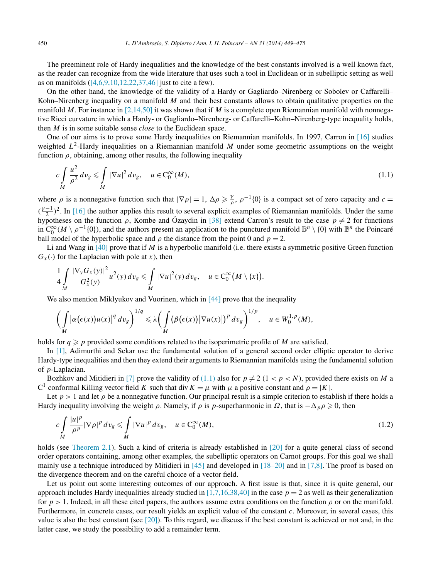<span id="page-1-0"></span>The preeminent role of Hardy inequalities and the knowledge of the best constants involved is a well known fact, as the reader can recognize from the wide literature that uses such a tool in Euclidean or in subelliptic setting as well as on manifolds  $(14, 6, 9, 10, 12, 22, 37, 46)$  just to cite a few).

On the other hand, the knowledge of the validity of a Hardy or Gagliardo–Nirenberg or Sobolev or Caffarelli– Kohn–Nirenberg inequality on a manifold *M* and their best constants allows to obtain qualitative properties on the manifold *M*. For instance in [\[2,14,50\]](#page-25-0) it was shown that if *M* is a complete open Riemannian manifold with nonnegative Ricci curvature in which a Hardy- or Gagliardo–Nirenberg- or Caffarelli–Kohn–Nirenberg-type inequality holds, then *M* is in some suitable sense *close* to the Euclidean space.

One of our aims is to prove some Hardy inequalities on Riemannian manifolds. In 1997, Carron in [\[16\]](#page-25-0) studies weighted  $L^2$ -Hardy inequalities on a Riemannian manifold *M* under some geometric assumptions on the weight function  $\rho$ , obtaining, among other results, the following inequality

$$
c\int\limits_M\frac{u^2}{\rho^2}dv_g\leqslant \int\limits_M|\nabla u|^2dv_g,\quad u\in C_0^\infty(M),\tag{1.1}
$$

where  $\rho$  is a nonnegative function such that  $|\nabla \rho| = 1$ ,  $\Delta \rho \ge \frac{\gamma}{\rho}$ ,  $\rho^{-1}\{0\}$  is a compact set of zero capacity and  $c =$  $(\frac{\gamma-1}{2})^2$ . In [\[16\]](#page-25-0) the author applies this result to several explicit examples of Riemannian manifolds. Under the same hypotheses on the function  $\rho$ , Kombe and Özaydin in [\[38\]](#page-25-0) extend Carron's result to the case  $p \neq 2$  for functions in  $C_0^{\infty}(M \setminus \rho^{-1}\{0\})$ , and the authors present an application to the punctured manifold  $\mathbb{B}^n \setminus \{0\}$  with  $\mathbb{B}^n$  the Poincaré ball model of the hyperbolic space and  $\rho$  the distance from the point 0 and  $p = 2$ .

Li and Wang in [\[40\]](#page-25-0) prove that if *M* is a hyperbolic manifold (i.e. there exists a symmetric positive Green function  $G_x(\cdot)$  for the Laplacian with pole at *x*), then

$$
\frac{1}{4}\int\limits_M \frac{|\nabla_y G_x(y)|^2}{G_x^2(y)}u^2(y)\,dv_g\leq \int\limits_M |\nabla u|^2(y)\,dv_g,\quad u\in C_0^\infty(M\setminus\{x\}).
$$

We also mention Miklyukov and Vuorinen, which in [\[44\]](#page-26-0) prove that the inequality

$$
\left(\int\limits_M |\alpha(\epsilon(x))u(x)|^q\,dv_g\right)^{1/q}\leq \lambda\biggl(\int\limits_M (\beta(\epsilon(x))|\nabla u(x)|)^p\,dv_g\biggr)^{1/p},\quad u\in W_0^{1,p}(M),
$$

holds for  $q \geq p$  provided some conditions related to the isoperimetric profile of *M* are satisfied.

In [\[1\],](#page-25-0) Adimurthi and Sekar use the fundamental solution of a general second order elliptic operator to derive Hardy-type inequalities and then they extend their arguments to Riemannian manifolds using the fundamental solution of *p*-Laplacian.

Bozhkov and Mitidieri in [\[7\]](#page-25-0) prove the validity of (1.1) also for  $p \neq 2$  (1 <  $p < N$ ), provided there exists on *M* a C<sup>1</sup> conformal Killing vector field *K* such that div  $K = \mu$  with  $\mu$  a positive constant and  $\rho = |K|$ .

Let  $p > 1$  and let  $\rho$  be a nonnegative function. Our principal result is a simple criterion to establish if there holds a Hardy inequality involving the weight  $\rho$ . Namely, if  $\rho$  is  $p$ -superharmonic in  $\Omega$ , that is  $-\Delta_p \rho \geq 0$ , then

$$
c\int\limits_M\frac{|u|^p}{\rho^p}|\nabla\rho|^p\,dv_g\leqslant\int\limits_M|\nabla u|^p\,dv_g,\quad u\in C_0^\infty(M),\tag{1.2}
$$

holds (see [Theorem 2.1\)](#page-3-0). Such a kind of criteria is already established in [\[20\]](#page-25-0) for a quite general class of second order operators containing, among other examples, the subelliptic operators on Carnot groups. For this goal we shall mainly use a technique introduced by Mitidieri in [\[45\]](#page-26-0) and developed in [\[18–20\]](#page-25-0) and in [\[7,8\].](#page-25-0) The proof is based on the divergence theorem and on the careful choice of a vector field.

Let us point out some interesting outcomes of our approach. A first issue is that, since it is quite general, our approach includes Hardy inequalities already studied in  $[1,7,16,38,40]$  in the case  $p = 2$  as well as their generalization for  $p > 1$ . Indeed, in all these cited papers, the authors assume extra conditions on the function  $\rho$  or on the manifold. Furthermore, in concrete cases, our result yields an explicit value of the constant *c*. Moreover, in several cases, this value is also the best constant (see  $[20]$ ). To this regard, we discuss if the best constant is achieved or not and, in the latter case, we study the possibility to add a remainder term.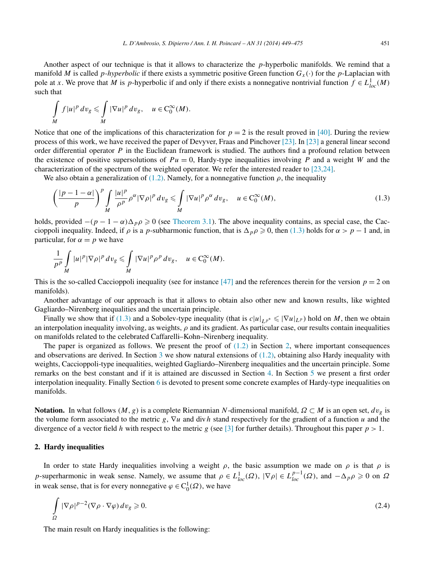<span id="page-2-0"></span>Another aspect of our technique is that it allows to characterize the *p*-hyperbolic manifolds. We remind that a manifold *M* is called *p*-*hyperbolic* if there exists a symmetric positive Green function  $G_x(\cdot)$  for the *p*-Laplacian with pole at *x*. We prove that *M* is *p*-hyperbolic if and only if there exists a nonnegative nontrivial function  $f \in L^1_{loc}(M)$ such that

$$
\int\limits_M f|u|^p\,dv_g\leqslant \int\limits_M |\nabla u|^p\,dv_g,\quad u\in C_0^\infty(M).
$$

Notice that one of the implications of this characterization for  $p = 2$  is the result proved in [\[40\].](#page-25-0) During the review process of this work, we have received the paper of Devyver, Fraas and Pinchover [\[23\].](#page-25-0) In [\[23\]](#page-25-0) a general linear second order differential operator *P* in the Euclidean framework is studied. The authors find a profound relation between the existence of positive supersolutions of  $Pu = 0$ , Hardy-type inequalities involving *P* and a weight *W* and the characterization of the spectrum of the weighted operator. We refer the interested reader to [\[23,24\].](#page-25-0)

We also obtain a generalization of  $(1.2)$ . Namely, for a nonnegative function  $\rho$ , the inequality

$$
\left(\frac{|p-1-\alpha|}{p}\right)^p \int\limits_M \frac{|u|^p}{\rho^p} \rho^{\alpha} |\nabla \rho|^p \, dv_g \leqslant \int\limits_M |\nabla u|^p \rho^{\alpha} \, dv_g, \quad u \in C_0^{\infty}(M),\tag{1.3}
$$

holds, provided  $-(p-1-\alpha)\Delta_p\rho \geq 0$  (see [Theorem 3.1\)](#page-8-0). The above inequality contains, as special case, the Caccioppoli inequality. Indeed, if  $\rho$  is a *p*-subharmonic function, that is  $\Delta_p \rho \geq 0$ , then (1.3) holds for  $\alpha > p - 1$  and, in particular, for  $\alpha = p$  we have

$$
\frac{1}{p^p}\int\limits_M |u|^p|\nabla\rho|^p\,dv_g\leqslant \int\limits_M |\nabla u|^p\rho^p\,dv_g,\quad u\in C_0^\infty(M).
$$

This is the so-called Caccioppoli inequality (see for instance  $[47]$  and the references therein for the version  $p = 2$  on manifolds).

Another advantage of our approach is that it allows to obtain also other new and known results, like wighted Gagliardo–Nirenberg inequalities and the uncertain principle.

Finally we show that if (1.3) and a Sobolev-type inequality (that is  $c|u|_{L^{p^*}} \le |\nabla u|_{L^p}$ ) hold on *M*, then we obtain an interpolation inequality involving, as weights,  $\rho$  and its gradient. As particular case, our results contain inequalities on manifolds related to the celebrated Caffarelli–Kohn–Nirenberg inequality.

The paper is organized as follows. We present the proof of  $(1.2)$  in Section 2, where important consequences and observations are derived. In Section [3](#page-8-0) we show natural extensions of  $(1.2)$ , obtaining also Hardy inequality with weights, Caccioppoli-type inequalities, weighted Gagliardo–Nirenberg inequalities and the uncertain principle. Some remarks on the best constant and if it is attained are discussed in Section [4.](#page-12-0) In Section [5](#page-14-0) we present a first order interpolation inequality. Finally Section [6](#page-17-0) is devoted to present some concrete examples of Hardy-type inequalities on manifolds.

**Notation.** In what follows  $(M, g)$  is a complete Riemannian *N*-dimensional manifold,  $\Omega \subset M$  is an open set,  $dv_g$  is the volume form associated to the metric *g*, ∇*u* and div*h* stand respectively for the gradient of a function *u* and the divergence of a vector field *h* with respect to the metric *g* (see [\[3\]](#page-25-0) for further details). Throughout this paper  $p > 1$ .

#### **2. Hardy inequalities**

In order to state Hardy inequalities involving a weight  $\rho$ , the basic assumption we made on  $\rho$  is that  $\rho$  is *p*-superharmonic in weak sense. Namely, we assume that  $\rho \in L^1_{loc}(\Omega)$ ,  $|\nabla \rho| \in L^{p-1}_{loc}(\Omega)$ , and  $-\Delta_p \rho \geq 0$  on  $\Omega$ in weak sense, that is for every nonnegative  $\varphi \in C_0^1(\Omega)$ , we have

$$
\int_{\Omega} |\nabla \rho|^{p-2} (\nabla \rho \cdot \nabla \varphi) dv_g \ge 0.
$$
\n(2.4)

The main result on Hardy inequalities is the following: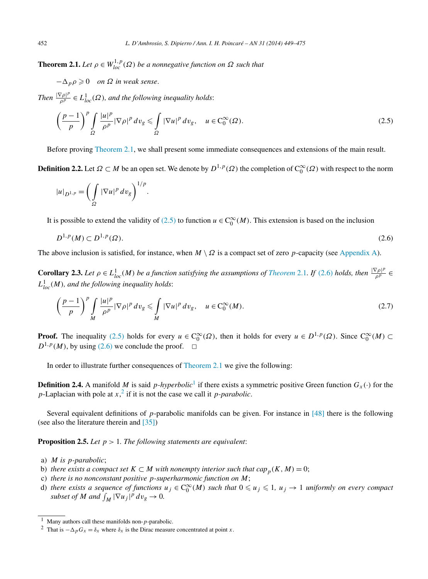<span id="page-3-0"></span>**Theorem 2.1.** *Let*  $\rho \in W_{loc}^{1,p}(\Omega)$  *be a nonnegative function on*  $\Omega$  *such that* 

 $-\Delta_p \rho \geqslant 0$  *on*  $\Omega$  *in weak sense.* 

*Then*  $\frac{|\nabla \rho|^p}{\rho^p} \in L^1_{loc}(\Omega)$ , and the following inequality holds:

$$
\left(\frac{p-1}{p}\right)^p \int_{\Omega} \frac{|u|^p}{\rho^p} |\nabla \rho|^p \, dv_g \leq \int_{\Omega} |\nabla u|^p \, dv_g, \quad u \in C_0^{\infty}(\Omega). \tag{2.5}
$$

Before proving Theorem 2.1, we shall present some immediate consequences and extensions of the main result.

**Definition 2.2.** Let  $\Omega \subset M$  be an open set. We denote by  $D^{1,p}(\Omega)$  the completion of  $C_0^{\infty}(\Omega)$  with respect to the norm

$$
|u|_{D^{1,p}} = \left(\int_{\Omega} |\nabla u|^p \, dv_g\right)^{1/p}.
$$

It is possible to extend the validity of (2.5) to function  $u \in C_0^{\infty}(M)$ . This extension is based on the inclusion

$$
D^{1,p}(M) \subset D^{1,p}(\Omega). \tag{2.6}
$$

The above inclusion is satisfied, for instance, when  $M \setminus \Omega$  is a compact set of zero *p*-capacity (see [Appendix A\)](#page-24-0).

**Corollary 2.3.** Let  $\rho \in L^1_{loc}(M)$  be a function satisfying the assumptions of *Theorem* 2.1*.* If (2.6) holds, then  $\frac{|\nabla \rho|^p}{\rho^p}$  $L^1_{loc}(M)$ , and the following inequality holds:

$$
\left(\frac{p-1}{p}\right)^p \int\limits_M \frac{|u|^p}{\rho^p} |\nabla \rho|^p \, dv_g \leqslant \int\limits_M |\nabla u|^p \, dv_g, \quad u \in C_0^{\infty}(M). \tag{2.7}
$$

**Proof.** The inequality (2.5) holds for every  $u \in C_0^{\infty}(\Omega)$ , then it holds for every  $u \in D^{1,p}(\Omega)$ . Since  $C_0^{\infty}(M) \subset$  $D^{1,p}(M)$ , by using (2.6) we conclude the proof.  $\Box$ 

In order to illustrate further consequences of Theorem 2.1 we give the following:

**Definition 2.4.** A manifold *M* is said *p*-*hyperbolic*<sup>1</sup> if there exists a symmetric positive Green function  $G_x(·)$  for the *p*-Laplacian with pole at  $x$ ,  $\frac{2}{x}$  if it is not the case we call it *p-parabolic*.

Several equivalent definitions of *p*-parabolic manifolds can be given. For instance in [\[48\]](#page-26-0) there is the following (see also the literature therein and [\[35\]\)](#page-25-0)

**Proposition 2.5.** *Let p >* 1*. The following statements are equivalent*:

- a) *M is p-parabolic*;
- b) *there exists a compact set*  $K \subset M$  *with nonempty interior such that cap*<sub>*p*</sub> $(K, M) = 0$ ;
- c) *there is no nonconstant positive p-superharmonic function on M*;
- d) there exists a sequence of functions  $u_j \in C_0^{\infty}(M)$  such that  $0 \leq u_j \leq 1$ ,  $u_j \to 1$  uniformly on every compact *subset of M* and  $\int_M |\nabla u_j|^p \, dv_g \to 0$ .

<sup>1</sup> Many authors call these manifolds non-*p*-parabolic.

<sup>&</sup>lt;sup>2</sup> That is  $-\Delta_p G_x = \delta_x$  where  $\delta_x$  is the Dirac measure concentrated at point *x*.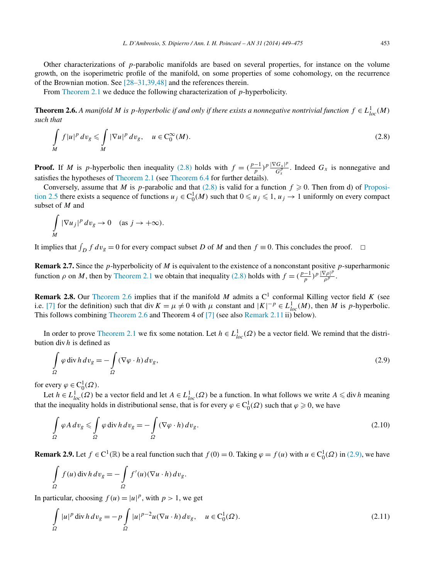<span id="page-4-0"></span>Other characterizations of *p*-parabolic manifolds are based on several properties, for instance on the volume growth, on the isoperimetric profile of the manifold, on some properties of some cohomology, on the recurrence of the Brownian motion. See [\[28–31,39,48\]](#page-25-0) and the references therein.

From [Theorem](#page-3-0) 2.1 we deduce the following characterization of *p*-hyperbolicity.

**Theorem 2.6.** A manifold M is p-hyperbolic if and only if there exists a nonnegative nontrivial function  $f \in L^1_{loc}(M)$ *such that*

$$
\int\limits_M f|u|^p \, dv_g \leqslant \int\limits_M |\nabla u|^p \, dv_g, \quad u \in C_0^{\infty}(M).
$$
\n(2.8)

**Proof.** If *M* is *p*-hyperbolic then inequality (2.8) holds with  $f = (\frac{p-1}{p})^p \frac{|\nabla G_x|^p}{G_y^p}$  $\frac{G_X P}{G_X^p}$ . Indeed  $G_X$  is nonnegative and satisfies the hypotheses of [Theorem 2.1](#page-3-0) (see [Theorem 6.4](#page-19-0) for further details).

Conversely, assume that *M* is *p*-parabolic and that  $(2.8)$  is valid for a function  $f \ge 0$ . Then from d) of [Proposi](#page-3-0)[tion 2.5](#page-3-0) there exists a sequence of functions  $u_j \in C_0^1(M)$  such that  $0 \le u_j \le 1$ ,  $u_j \to 1$  uniformly on every compact subset of *M* and

$$
\int\limits_M |\nabla u_j|^p \, dv_g \to 0 \quad \text{(as } j \to +\infty\text{).}
$$

It implies that  $\int_D f dv_g = 0$  for every compact subset *D* of *M* and then  $f \equiv 0$ . This concludes the proof.  $\Box$ 

**Remark 2.7.** Since the *p*-hyperbolicity of *M* is equivalent to the existence of a nonconstant positive *p*-superharmonic function  $\rho$  on *M*, then by [Theorem 2.1](#page-3-0) we obtain that inequality (2.8) holds with  $f = (\frac{p-1}{p})^p \frac{|\nabla \rho|^p}{\rho^p}$ .

**Remark 2.8.** Our Theorem 2.6 implies that if the manifold *M* admits a  $C<sup>1</sup>$  conformal Killing vector field *K* (see i.e. [\[7\]](#page-25-0) for the definition) such that div  $K = \mu \neq 0$  with  $\mu$  constant and  $|K|^{-p} \in L^1_{loc}(M)$ , then M is p-hyperbolic. This follows combining Theorem 2.6 and Theorem 4 of [\[7\]](#page-25-0) (see also [Remark 2.11](#page-5-0) ii) below).

In order to prove [Theorem](#page-3-0) 2.1 we fix some notation. Let  $h \in L^1_{loc}(\Omega)$  be a vector field. We remind that the distribution div *h* is defined as

$$
\int_{\Omega} \varphi \operatorname{div} h \, dv_g = -\int_{\Omega} (\nabla \varphi \cdot h) \, dv_g,\tag{2.9}
$$

for every  $\varphi \in C_0^1(\Omega)$ .

Let  $h \in L^1_{loc}(\Omega)$  be a vector field and let  $A \in L^1_{loc}(\Omega)$  be a function. In what follows we write  $A \leq \text{div } h$  meaning that the inequality holds in distributional sense, that is for every  $\varphi \in C_0^1(\Omega)$  such that  $\varphi \ge 0$ , we have

$$
\int_{\Omega} \varphi A \, dv_g \leq \int_{\Omega} \varphi \, \text{div} \, h \, dv_g = -\int_{\Omega} (\nabla \varphi \cdot h) \, dv_g. \tag{2.10}
$$

**Remark 2.9.** Let  $f \in C^1(\mathbb{R})$  be a real function such that  $f(0) = 0$ . Taking  $\varphi = f(u)$  with  $u \in C_0^1(\Omega)$  in (2.9), we have

$$
\int_{\Omega} f(u) \operatorname{div} h \, dv_g = -\int_{\Omega} f'(u) (\nabla u \cdot h) \, dv_g.
$$

In particular, choosing  $f(u) = |u|^p$ , with  $p > 1$ , we get

$$
\int_{\Omega} |u|^p \operatorname{div} h \, dv_g = -p \int_{\Omega} |u|^{p-2} u (\nabla u \cdot h) \, dv_g, \quad u \in \mathcal{C}_0^1(\Omega). \tag{2.11}
$$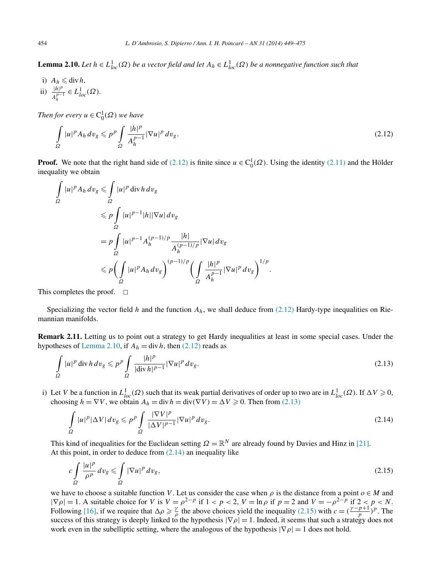<span id="page-5-0"></span>**Lemma 2.10.** *Let*  $h \in L^1_{loc}(\Omega)$  *be a vector field and let*  $A_h \in L^1_{loc}(\Omega)$  *be a nonnegative function such that* 

i)  $A_h \leq \text{div } h$ *,* ii)  $\frac{|h|^p}{p}$  $\frac{|h|^p}{A_h^{p-1}}$  ∈  $L^1_{loc}(\Omega)$ *.* 

*Then for every*  $u \in C_0^1(\Omega)$  *we have* 

$$
\int_{\Omega} |u|^p A_h dv_g \leqslant p^p \int_{\Omega} \frac{|h|^p}{A_h^{p-1}} |\nabla u|^p dv_g. \tag{2.12}
$$

**Proof.** We note that the right hand side of (2.12) is finite since  $u \in C_0^1(\Omega)$ . Using the identity [\(2.11\)](#page-4-0) and the Hölder inequality we obtain

$$
\int_{\Omega} |u|^p A_h dv_g \leq \int_{\Omega} |u|^p \operatorname{div} h dv_g
$$
\n
$$
\leq p \int_{\Omega} |u|^{p-1} |h| |\nabla u| dv_g
$$
\n
$$
= p \int_{\Omega} |u|^{p-1} A_h^{(p-1)/p} \frac{|h|}{A_h^{(p-1)/p}} |\nabla u| dv_g
$$
\n
$$
\leq p \Biggl(\int_{\Omega} |u|^p A_h dv_g\Biggr)^{(p-1)/p} \Biggl(\int_{\Omega} \frac{|h|^p}{A_h^{p-1}} |\nabla u|^p dv_g\Biggr)^{1/p}.
$$

This completes the proof.  $\square$ 

Specializing the vector field *h* and the function  $A_h$ , we shall deduce from (2.12) Hardy-type inequalities on Riemannian manifolds.

**Remark 2.11.** Letting us to point out a strategy to get Hardy inequalities at least in some special cases. Under the hypotheses of Lemma 2.10, if  $A_h = \text{div } h$ , then (2.12) reads as

$$
\int_{\Omega} |u|^p \operatorname{div} h \, dv_g \leqslant p^p \int_{\Omega} \frac{|h|^p}{|\operatorname{div} h|^{p-1}} |\nabla u|^p \, dv_g. \tag{2.13}
$$

i) Let *V* be a function in  $L_{loc}^1(\Omega)$  such that its weak partial derivatives of order up to two are in  $L_{loc}^1(\Omega)$ . If  $\Delta V \ge 0$ , choosing  $h = \nabla V$ , we obtain  $A_h = \text{div } h = \text{div}(\nabla V) = \Delta V \ge 0$ . Then from (2.13)

$$
\int_{\Omega} |u|^p |\Delta V| \, dv_g \leqslant p^p \int_{\Omega} \frac{|\nabla V|^p}{|\Delta V|^{p-1}} |\nabla u|^p \, dv_g. \tag{2.14}
$$

This kind of inequalities for the Euclidean setting  $\Omega = \mathbb{R}^N$  are already found by Davies and Hinz in [\[21\].](#page-25-0) At this point, in order to deduce from  $(2.14)$  an inequality like

$$
c \int_{\Omega} \frac{|u|^p}{\rho^p} dv_g \leqslant \int_{\Omega} |\nabla u|^p dv_g,
$$
\n(2.15)

we have to choose a suitable function *V*. Let us consider the case when  $\rho$  is the distance from a point  $o \in M$  and  $|\nabla \rho| = 1$ . A suitable choice for *V* is  $V = \rho^{2-p}$  if  $1 < p < 2$ ,  $V = \ln \rho$  if  $p = 2$  and  $V = -\rho^{2-p}$  if  $2 < p < N$ . Following [\[16\],](#page-25-0) if we require that  $\Delta \rho \geq \frac{\gamma}{\rho}$  the above choices yield the inequality (2.15) with  $c = (\frac{\gamma - p + 1}{p})^p$ . The success of this strategy is deeply linked to the hypothesis  $|\nabla \rho| = 1$ . Indeed, it seems that such a strategy does not work even in the subelliptic setting, where the analogous of the hypothesis  $|\nabla \rho| = 1$  does not hold.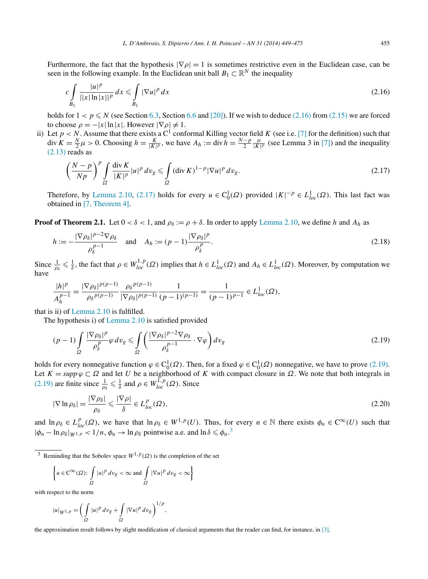<span id="page-6-0"></span>Furthermore, the fact that the hypothesis  $|\nabla \rho| = 1$  is sometimes restrictive even in the Euclidean case, can be seen in the following example. In the Euclidean unit ball  $B_1 \subset \mathbb{R}^N$  the inequality

$$
c \int_{B_1} \frac{|u|^p}{||x| \ln |x||^p} dx \leqslant \int_{B_1} |\nabla u|^p dx \tag{2.16}
$$

holds for  $1 < p \le N$  (see Section [6.3,](#page-20-0) Section [6.6](#page-23-0) and [\[20\]\)](#page-25-0). If we wish to deduce (2.16) from [\(2.15\)](#page-5-0) we are forced to choose  $\rho = -|x| \ln |x|$ . However  $|\nabla \rho| \neq 1$ .

ii) Let  $p < N$ . Assume that there exists a C<sup>1</sup> conformal Killing vector field *K* (see i.e. [\[7\]](#page-25-0) for the definition) such that div  $K = \frac{N}{2}\mu > 0$ . Choosing  $h = \frac{K}{|K|p}$ , we have  $A_h := \text{div } h = \frac{N-p}{2}$  $\frac{\mu}{|K|^p}$  (see Lemma 3 in [\[7\]\)](#page-25-0) and the inequality  $(2.13)$  reads as

$$
\left(\frac{N-p}{Np}\right)^p \int\limits_{\Omega} \frac{\operatorname{div} K}{|K|^p} |u|^p \, dv_g \leqslant \int\limits_{\Omega} (\operatorname{div} K)^{1-p} |\nabla u|^p \, dv_g. \tag{2.17}
$$

Therefore, by [Lemma 2.10,](#page-5-0) (2.17) holds for every  $u \in C_0^1(\Omega)$  provided  $|K|^{-p} \in L^1_{loc}(\Omega)$ . This last fact was obtained in [\[7, Theorem 4\].](#page-25-0)

**Proof of Theorem 2.1.** Let  $0 < \delta < 1$ , and  $\rho_{\delta} := \rho + \delta$ . In order to apply [Lemma 2.10,](#page-5-0) we define *h* and  $A_h$  as

$$
h := -\frac{|\nabla \rho_{\delta}|^{p-2} \nabla \rho_{\delta}}{\rho_{\delta}^{p-1}} \quad \text{and} \quad A_h := (p-1) \frac{|\nabla \rho_{\delta}|^p}{\rho_{\delta}^p}.
$$
 (2.18)

Since  $\frac{1}{\rho_{\delta}} \leq \frac{1}{\delta}$ , the fact that  $\rho \in W_{loc}^{1,p}(\Omega)$  implies that  $h \in L_{loc}^1(\Omega)$  and  $A_h \in L_{loc}^1(\Omega)$ . Moreover, by computation we have

$$
\frac{|h|^p}{A_h^{p-1}} = \frac{|\nabla \rho_\delta|^{p(p-1)}}{\rho_\delta p^{(p-1)}} \frac{\rho_\delta p^{(p-1)}}{|\nabla \rho_\delta|^{p(p-1)}} \frac{1}{(p-1)^{(p-1)}} = \frac{1}{(p-1)^{p-1}} \in L^1_{loc}(\Omega),
$$

that is ii) of [Lemma 2.10](#page-5-0) is fulfilled.

The hypothesis i) of [Lemma](#page-5-0) 2.10 is satisfied provided

$$
(p-1)\int_{\Omega} \frac{|\nabla \rho_{\delta}|^p}{\rho_{\delta}^p} \varphi \, dv_g \le \int_{\Omega} \left(\frac{|\nabla \rho_{\delta}|^{p-2} \nabla \rho_{\delta}}{\rho_{\delta}^{p-1}} \cdot \nabla \varphi\right) dv_g \tag{2.19}
$$

holds for every nonnegative function  $\varphi \in C_0^1(\Omega)$ . Then, for a fixed  $\varphi \in C_0^1(\Omega)$  nonnegative, we have to prove (2.19). Let  $K = \text{supp } \varphi \subset \Omega$  and let *U* be a neighborhood of *K* with compact closure in  $\Omega$ . We note that both integrals in (2.19) are finite since  $\frac{1}{\rho_{\delta}} \leq \frac{1}{\delta}$  and  $\rho \in W^{1,p}_{loc}(\Omega)$ . Since

$$
|\nabla \ln \rho_{\delta}| = \frac{|\nabla \rho_{\delta}|}{\rho_{\delta}} \leq \frac{|\nabla \rho|}{\delta} \in L_{loc}^p(\Omega), \tag{2.20}
$$

and  $\ln \rho_{\delta} \in L_{loc}^p(\Omega)$ , we have that  $\ln \rho_{\delta} \in W^{1,p}(U)$ . Thus, for every  $n \in \mathbb{N}$  there exists  $\phi_n \in C^{\infty}(U)$  such that  $|\phi_n - \ln \rho_\delta|_{W^{1,p}} < 1/n$ ,  $\phi_n \to \ln \rho_\delta$  pointwise a.e. and  $\ln \delta \le \phi_n$ .<sup>3</sup>

<sup>3</sup> Reminding that the Sobolev space  $W^{1,p}(\Omega)$  is the completion of the set

$$
\left\{u\in\operatorname{C}^{\infty}(\varOmega)\colon\int\limits_{\varOmega}|u|^{p}\,dv_{g}<\infty\text{ and }\int\limits_{\varOmega}|\nabla u|^{p}\,dv_{g}<\infty\right\}
$$

with respect to the norm

$$
|u|_{W^{1,p}} = \left(\int_{\Omega} |u|^p \, dv_g + \int_{\Omega} |\nabla u|^p \, dv_g\right)^{1/p},
$$

the approximation result follows by slight modification of classical arguments that the reader can find, for instance, in [\[3\].](#page-25-0)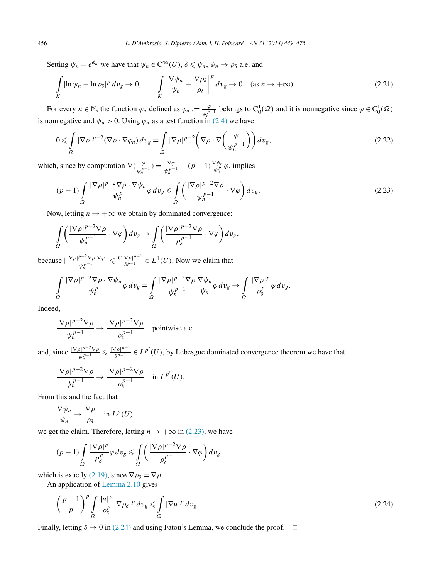Setting  $\psi_n = e^{\phi_n}$  we have that  $\psi_n \in C^\infty(U)$ ,  $\delta \le \psi_n$ ,  $\psi_n \to \rho_\delta$  a.e. and

$$
\int\limits_K |\ln \psi_n - \ln \rho_\delta|^p \, dv_g \to 0, \qquad \int\limits_K \left| \frac{\nabla \psi_n}{\psi_n} - \frac{\nabla \rho_\delta}{\rho_\delta} \right|^p \, dv_g \to 0 \quad \text{(as } n \to +\infty\text{).} \tag{2.21}
$$

For every  $n \in \mathbb{N}$ , the function  $\varphi_n$  defined as  $\varphi_n := \frac{\varphi}{\psi_n^{n-1}}$  belongs to  $C_0^1(\Omega)$  and it is nonnegative since  $\varphi \in C_0^1(\Omega)$ is nonnegative and  $\psi_n > 0$ . Using  $\varphi_n$  as a test function in [\(2.4\)](#page-2-0) we have

$$
0 \leqslant \int_{\Omega} |\nabla \rho|^{p-2} (\nabla \rho \cdot \nabla \varphi_n) dv_g = \int_{\Omega} |\nabla \rho|^{p-2} \left( \nabla \rho \cdot \nabla \left( \frac{\varphi}{\psi_n^{p-1}} \right) \right) dv_g,
$$
\n(2.22)

which, since by computation  $\nabla \left( \frac{\varphi}{\psi_n^{p-1}} \right) = \frac{\nabla \varphi}{\psi_n^{p-1}} - (p-1) \frac{\nabla \psi_n}{\psi_n^p} \varphi$ , implies

$$
(p-1)\int_{\Omega} \frac{|\nabla \rho|^{p-2}\nabla \rho \cdot \nabla \psi_n}{\psi_n^p} \varphi \, dv_g \le \int_{\Omega} \left(\frac{|\nabla \rho|^{p-2}\nabla \rho}{\psi_n^{p-1}} \cdot \nabla \varphi\right) dv_g. \tag{2.23}
$$

Now, letting  $n \to +\infty$  we obtain by dominated convergence:

$$
\int_{\Omega} \left( \frac{|\nabla \rho|^{p-2} \nabla \rho}{\psi_n^{p-1}} \cdot \nabla \varphi \right) dv_g \to \int_{\Omega} \left( \frac{|\nabla \rho|^{p-2} \nabla \rho}{\rho_\delta^{p-1}} \cdot \nabla \varphi \right) dv_g,
$$

because  $\frac{|\nabla \rho|^{p-2} \nabla \rho \cdot \nabla \varphi}{\rho}$  $\frac{p-2\nabla \rho \cdot \nabla \varphi}{\psi_n^{p-1}} \leq \frac{C|\nabla \rho|^{p-1}}{\delta^{p-1}} \in L^1(U)$ . Now we claim that

$$
\int_{\Omega} \frac{|\nabla \rho|^{p-2} \nabla \rho \cdot \nabla \psi_n}{\psi_n^p} \varphi \, dv_g = \int_{\Omega} \frac{|\nabla \rho|^{p-2} \nabla \rho}{\psi_n^{p-1}} \frac{\nabla \psi_n}{\psi_n} \varphi \, dv_g \to \int_{\Omega} \frac{|\nabla \rho|^{p}}{\rho_{\delta}^{p}} \varphi \, dv_g.
$$

Indeed,

$$
\frac{|\nabla \rho|^{p-2} \nabla \rho}{\psi_n^{p-1}} \to \frac{|\nabla \rho|^{p-2} \nabla \rho}{\rho_{\delta}^{p-1}}
$$
 pointwise a.e.

and, since  $\frac{|\nabla \rho|^{p-2}\nabla \rho}{p-1}$  $\frac{\varphi_1^{p-2}\nabla \rho}{\varphi_n^{p-1}} \leq \frac{|\nabla \rho|^{p-1}}{\delta^{p-1}} \in L^{p'}(U)$ , by Lebesgue dominated convergence theorem we have that

$$
\frac{|\nabla \rho|^{p-2}\nabla \rho}{\psi_n^{p-1}} \to \frac{|\nabla \rho|^{p-2}\nabla \rho}{\rho_\delta^{p-1}} \quad \text{in } L^{p'}(U).
$$

From this and the fact that

$$
\frac{\nabla \psi_n}{\psi_n} \to \frac{\nabla \rho}{\rho_\delta} \quad \text{in } L^p(U)
$$

we get the claim. Therefore, letting  $n \to +\infty$  in (2.23), we have

$$
(p-1)\int\limits_{\varOmega} \frac{|\nabla\rho|^p}{\rho_\delta^p}\varphi\,dv_g\leqslant\int\limits_{\varOmega}\bigg(\frac{|\nabla\rho|^{p-2}\nabla\rho}{\rho_\delta^{p-1}}\cdot\nabla\varphi\bigg)dv_g,
$$

which is exactly [\(2.19\),](#page-6-0) since  $\nabla \rho_{\delta} = \nabla \rho$ .

An application of [Lemma](#page-5-0) 2.10 gives

$$
\left(\frac{p-1}{p}\right)^p \int\limits_{\Omega} \frac{|u|^p}{\rho_\delta^p} |\nabla \rho_\delta|^p \, dv_g \leq \int\limits_{\Omega} |\nabla u|^p \, dv_g. \tag{2.24}
$$

Finally, letting  $\delta \rightarrow 0$  in (2.24) and using Fatou's Lemma, we conclude the proof.  $\Box$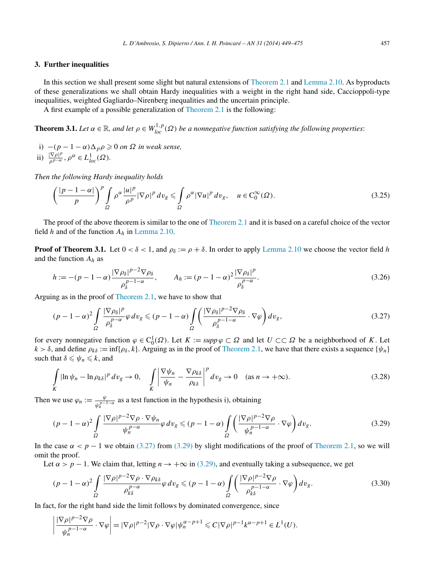#### <span id="page-8-0"></span>**3. Further inequalities**

In this section we shall present some slight but natural extensions of [Theorem 2.1](#page-3-0) and [Lemma 2.10.](#page-5-0) As byproducts of these generalizations we shall obtain Hardy inequalities with a weight in the right hand side, Caccioppoli-type inequalities, weighted Gagliardo–Nirenberg inequalities and the uncertain principle.

A first example of a possible generalization of [Theorem](#page-3-0) 2.1 is the following:

**Theorem 3.1.** *Let*  $\alpha \in \mathbb{R}$ , and let  $\rho \in W^{1,p}_{loc}(\Omega)$  be a nonnegative function satisfying the following properties:

- *i*)  $-(p-1−α)Δ<sub>p</sub>ρ ≥ 0$  *on*  $Ω$  *in weak sense*,
- ii)  $\frac{|\nabla \rho|^p}{\rho^{p-\alpha}}, \rho^{\alpha} \in L^1_{loc}(\Omega)$ *.*

*Then the following Hardy inequality holds*

$$
\left(\frac{|p-1-\alpha|}{p}\right)^p \int_{\Omega} \rho^{\alpha} \frac{|u|^p}{\rho^p} |\nabla \rho|^p \, dv_g \le \int_{\Omega} \rho^{\alpha} |\nabla u|^p \, dv_g, \quad u \in C_0^{\infty}(\Omega). \tag{3.25}
$$

The proof of the above theorem is similar to the one of [Theorem 2.1](#page-3-0) and it is based on a careful choice of the vector field *h* and of the function *Ah* in [Lemma 2.10.](#page-5-0)

**Proof of Theorem 3.1.** Let  $0 < \delta < 1$ , and  $\rho_{\delta} := \rho + \delta$ . In order to apply [Lemma 2.10](#page-5-0) we choose the vector field *h* and the function *Ah* as

$$
h := -(p-1-\alpha)\frac{|\nabla \rho_{\delta}|^{p-2}\nabla \rho_{\delta}}{\rho_{\delta}^{p-1-\alpha}}, \qquad A_h := (p-1-\alpha)^2 \frac{|\nabla \rho_{\delta}|^p}{\rho_{\delta}^{p-\alpha}}.
$$
\n(3.26)

Arguing as in the proof of [Theorem 2.1,](#page-3-0) we have to show that

$$
(p-1-\alpha)^2 \int_{\Omega} \frac{|\nabla \rho_{\delta}|^p}{\rho_{\delta}^{p-\alpha}} \varphi \, dv_g \le (p-1-\alpha) \int_{\Omega} \left( \frac{|\nabla \rho_{\delta}|^{p-2} \nabla \rho_{\delta}}{\rho_{\delta}^{p-1-\alpha}} \cdot \nabla \varphi \right) dv_g, \tag{3.27}
$$

for every nonnegative function  $\varphi \in C_0^1(\Omega)$ . Let  $K := \text{supp}\,\varphi \subset \Omega$  and let  $U \subset\subset \Omega$  be a neighborhood of K. Let  $k > \delta$ , and define  $\rho_{k\delta} := \inf{\{\rho_{\delta}, k\}}$ . Arguing as in the proof of [Theorem 2.1,](#page-3-0) we have that there exists a sequence  $\{\psi_n\}$ such that  $\delta \leq \psi_n \leq k$ , and

$$
\int\limits_K |\ln \psi_n - \ln \rho_{k\delta}|^p \, dv_g \to 0, \quad \int\limits_K \left| \frac{\nabla \psi_n}{\psi_n} - \frac{\nabla \rho_{k\delta}}{\rho_{k\delta}} \right|^p \, dv_g \to 0 \quad \text{(as } n \to +\infty\text{).} \tag{3.28}
$$

Then we use  $\varphi_n := \frac{\varphi}{\psi_n^{p-1-\alpha}}$  as a test function in the hypothesis i), obtaining

$$
(p-1-\alpha)^2 \int_{\Omega} \frac{|\nabla \rho|^{p-2} \nabla \rho \cdot \nabla \psi_n}{\psi_n^{p-\alpha}} \varphi \, dv_g \le (p-1-\alpha) \int_{\Omega} \left( \frac{|\nabla \rho|^{p-2} \nabla \rho}{\psi_n^{p-1-\alpha}} \cdot \nabla \varphi \right) dv_g. \tag{3.29}
$$

In the case  $\alpha < p - 1$  we obtain (3.27) from (3.29) by slight modifications of the proof of [Theorem 2.1,](#page-3-0) so we will omit the proof.

Let  $\alpha > p - 1$ . We claim that, letting  $n \to +\infty$  in (3.29), and eventually taking a subsequence, we get

$$
(p-1-\alpha)^2 \int_{\Omega} \frac{|\nabla \rho|^{p-2} \nabla \rho \cdot \nabla \rho_{k\delta}}{\rho_{k\delta}^{p-\alpha}} \varphi \, dv_g \le (p-1-\alpha) \int_{\Omega} \left( \frac{|\nabla \rho|^{p-2} \nabla \rho}{\rho_{k\delta}^{p-1-\alpha}} \cdot \nabla \varphi \right) dv_g. \tag{3.30}
$$

In fact, for the right hand side the limit follows by dominated convergence, since

$$
\left|\frac{|\nabla \rho|^{p-2}\nabla \rho}{\psi_n^{p-1-\alpha}} \cdot \nabla \varphi\right| = |\nabla \rho|^{p-2} |\nabla \rho \cdot \nabla \varphi| \psi_n^{\alpha-p+1} \leq C |\nabla \rho|^{p-1} k^{\alpha-p+1} \in L^1(U).
$$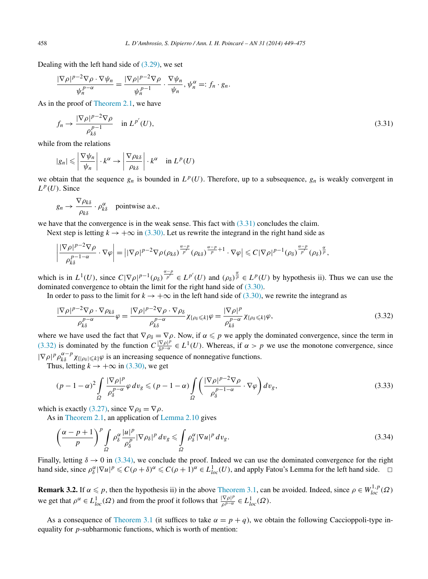<span id="page-9-0"></span>Dealing with the left hand side of  $(3.29)$ , we set

$$
\frac{|\nabla \rho|^{p-2} \nabla \rho \cdot \nabla \psi_n}{\psi_n^{p-\alpha}} = \frac{|\nabla \rho|^{p-2} \nabla \rho}{\psi_n^{p-1}} \cdot \frac{\nabla \psi_n}{\psi_n}, \psi_n^{\alpha} =: f_n \cdot g_n.
$$

As in the proof of [Theorem 2.1,](#page-3-0) we have

$$
f_n \to \frac{|\nabla \rho|^{p-2} \nabla \rho}{\rho_{k\delta}^{p-1}} \quad \text{in } L^{p'}(U),\tag{3.31}
$$

while from the relations

$$
|g_n| \leqslant \left| \frac{\nabla \psi_n}{\psi_n} \right| \cdot k^{\alpha} \to \left| \frac{\nabla \rho_{k\delta}}{\rho_{k\delta}} \right| \cdot k^{\alpha} \quad \text{in } L^p(U)
$$

we obtain that the sequence  $g_n$  is bounded in  $L^p(U)$ . Therefore, up to a subsequence,  $g_n$  is weakly convergent in  $L^p(U)$ . Since

$$
g_n \to \frac{\nabla \rho_{k\delta}}{\rho_{k\delta}} \cdot \rho_{k\delta}^{\alpha} \quad \text{pointwise a.e.,}
$$

we have that the convergence is in the weak sense. This fact with  $(3.31)$  concludes the claim.

Next step is letting  $k \to +\infty$  in [\(3.30\).](#page-8-0) Let us rewrite the integrand in the right hand side as

$$
\left|\frac{|\nabla\rho|^{p-2}\nabla\rho}{\rho_{k\delta}^{p-1-\alpha}}\cdot\nabla\varphi\right| = \left||\nabla\rho|^{p-2}\nabla\rho(\rho_{k\delta})^{\frac{\alpha-p}{p'}}(\rho_{k\delta})^{\frac{\alpha-p}{p}+1}\cdot\nabla\varphi\right| \leq C|\nabla\rho|^{p-1}(\rho_{\delta})^{\frac{\alpha-p}{p'}}(\rho_{\delta})^{\frac{\alpha}{p}},
$$

which is in  $L^1(U)$ , since  $C|\nabla \rho|^{p-1}(\rho_\delta)^{\frac{\alpha-p}{p'}} \in L^{p'}(U)$  and  $(\rho_\delta)^{\frac{\alpha}{p}} \in L^p(U)$  by hypothesis ii). Thus we can use the dominated convergence to obtain the limit for the right hand side of [\(3.30\).](#page-8-0)

In order to pass to the limit for  $k \to +\infty$  in the left hand side of [\(3.30\),](#page-8-0) we rewrite the integrand as

$$
\frac{|\nabla \rho|^{p-2}\nabla \rho \cdot \nabla \rho_{k\delta}}{\rho_{k\delta}^{p-\alpha}}\varphi = \frac{|\nabla \rho|^{p-2}\nabla \rho \cdot \nabla \rho_{\delta}}{\rho_{k\delta}^{p-\alpha}}\chi_{\{\rho_{\delta}\leq k\}}\varphi = \frac{|\nabla \rho|^{p}}{\rho_{k\delta}^{p-\alpha}}\chi_{\{\rho_{\delta}\leq k\}}\varphi, \tag{3.32}
$$

where we have used the fact that  $\nabla \rho_{\delta} = \nabla \rho$ . Now, if  $\alpha \leq p$  we apply the dominated convergence, since the term in (3.32) is dominated by the function  $C \frac{|\nabla \rho|^p}{\delta^{p-\alpha}} \in L^1(U)$ . Whereas, if  $\alpha > p$  we use the monotone convergence, since  $|\nabla \rho|^p \rho_{k\delta}^{\alpha-p} \chi_{\{|\rho_\delta| \leq k\}}\varphi$  is an increasing sequence of nonnegative functions.

Thus, letting  $k \to +\infty$  in [\(3.30\),](#page-8-0) we get

$$
(p-1-\alpha)^2 \int_{\Omega} \frac{|\nabla \rho|^p}{\rho_\delta^{p-\alpha}} \varphi \, dv_g \le (p-1-\alpha) \int_{\Omega} \left( \frac{|\nabla \rho|^{p-2} \nabla \rho}{\rho_\delta^{p-1-\alpha}} \cdot \nabla \varphi \right) dv_g,\tag{3.33}
$$

which is exactly [\(3.27\),](#page-8-0) since  $\nabla \rho_{\delta} = \nabla \rho$ .

As in [Theorem](#page-3-0) 2.1, an application of [Lemma 2.10](#page-5-0) gives

$$
\left(\frac{\alpha-p+1}{p}\right)^p \int_{\Omega} \rho_{\delta}^{\alpha} \frac{|u|^p}{\rho_{\delta}^p} |\nabla \rho_{\delta}|^p \, dv_g \le \int_{\Omega} \rho_{\delta}^{\alpha} |\nabla u|^p \, dv_g. \tag{3.34}
$$

Finally, letting  $\delta \to 0$  in (3.34), we conclude the proof. Indeed we can use the dominated convergence for the right hand side, since  $\rho_{\delta}^{\alpha} |\nabla u|^p \leq C(\rho + \delta)^{\alpha} \leq C(\rho + 1)^{\alpha} \in L^1_{loc}(U)$ , and apply Fatou's Lemma for the left hand side.  $\Box$ 

**Remark 3.2.** If  $\alpha \leq p$ , then the hypothesis ii) in the above [Theorem 3.1,](#page-8-0) can be avoided. Indeed, since  $\rho \in W_{loc}^{1,p}(\Omega)$ we get that  $\rho^{\alpha} \in L^1_{loc}(\Omega)$  and from the proof it follows that  $\frac{|\nabla \rho|^p}{\rho^{p-\alpha}} \in L^1_{loc}(\Omega)$ .

As a consequence of [Theorem 3.1](#page-8-0) (it suffices to take  $\alpha = p + q$ ), we obtain the following Caccioppoli-type inequality for *p*-subharmonic functions, which is worth of mention: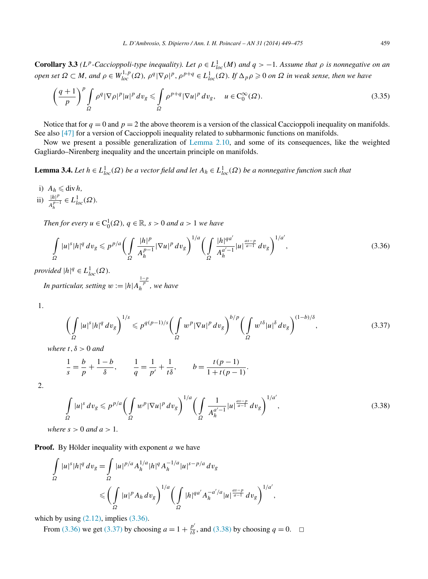<span id="page-10-0"></span>**Corollary 3.3** *(L<sup>p</sup>*-Caccioppoli-type inequality). Let  $\rho \in L^1_{loc}(M)$  and  $q > -1$ . Assume that  $\rho$  is nonnegative on an open set  $\Omega \subset M$ , and  $\rho \in W^{1,p}_{loc}(\Omega)$ ,  $\rho^q |\nabla \rho|^p$ ,  $\rho^{p+q} \in L^1_{loc}(\Omega)$ . If  $\Delta_p \rho \geqslant 0$  on  $\Omega$  in weak sense, then we have

$$
\left(\frac{q+1}{p}\right)^p \int_{\Omega} \rho^q |\nabla \rho|^p |u|^p dv_g \leq \int_{\Omega} \rho^{p+q} |\nabla u|^p dv_g, \quad u \in C_0^{\infty}(\Omega). \tag{3.35}
$$

Notice that for  $q = 0$  and  $p = 2$  the above theorem is a version of the classical Caccioppoli inequality on manifolds. See also [\[47\]](#page-26-0) for a version of Caccioppoli inequality related to subharmonic functions on manifolds.

Now we present a possible generalization of [Lemma](#page-5-0) 2.10, and some of its consequences, like the weighted Gagliardo–Nirenberg inequality and the uncertain principle on manifolds.

**Lemma 3.4.** *Let*  $h \in L^1_{loc}(\Omega)$  *be a vector field and let*  $A_h \in L^1_{loc}(\Omega)$  *be a nonnegative function such that* 

i)  $A_h \leq \text{div } h$ , ii)  $\frac{|h|^p}{p}$  $\frac{|h|^p}{A_h^{p-1}}$  ∈  $L^1_{loc}(\Omega)$ *.* 

*Then for every*  $u \in C_0^1(\Omega)$ *,*  $q \in \mathbb{R}$ *, s* > 0 *and a* > 1 *we have* 

$$
\int_{\Omega} |u|^s |h|^q \, dv_g \leqslant p^{p/a} \bigg( \int_{\Omega} \frac{|h|^p}{A_h^{p-1}} |\nabla u|^p \, dv_g \bigg)^{1/a} \bigg( \int_{\Omega} \frac{|h|^{qa'}}{A_h^{a'-1}} |u|^{\frac{as-p}{a-1}} \, dv_g \bigg)^{1/a'},\tag{3.36}
$$

*provided*  $|h|^q \in L^1_{loc}(\Omega)$ *.* 

*In particular, setting*  $w := |h| A_h^{\frac{1-p}{p}}$ , we have

1.

$$
\left(\int\limits_{\Omega}|u|^{s}|h|^{q} dv_{g}\right)^{1/s} \leqslant p^{q(p-1)/s}\left(\int\limits_{\Omega}w^{p}|\nabla u|^{p} dv_{g}\right)^{b/p}\left(\int\limits_{\Omega}w^{t\delta}|u|^{\delta} dv_{g}\right)^{(1-b)/\delta},\tag{3.37}
$$

*where t,δ >* 0 *and*

$$
\frac{1}{s} = \frac{b}{p} + \frac{1-b}{\delta}, \qquad \frac{1}{q} = \frac{1}{p'} + \frac{1}{t\delta}, \qquad b = \frac{t(p-1)}{1+t(p-1)}.
$$

2.

$$
\int_{\Omega} |u|^s \, dv_g \leqslant p^{p/a} \bigg( \int_{\Omega} w^p |\nabla u|^p \, dv_g \bigg)^{1/a} \bigg( \int_{\Omega} \frac{1}{A_h^{a'-1}} |u|^{\frac{as-p}{a-1}} \, dv_g \bigg)^{1/a'},\tag{3.38}
$$

*where*  $s > 0$  *and*  $a > 1$ .

**Proof.** By Hölder inequality with exponent *a* we have

$$
\int_{\Omega} |u|^s |h|^q \, dv_g = \int_{\Omega} |u|^{p/a} A_h^{1/a} |h|^q A_h^{-1/a} |u|^{s-p/a} \, dv_g
$$
\n
$$
\leqslant \left( \int_{\Omega} |u|^p A_h \, dv_g \right)^{1/a} \left( \int_{\Omega} |h|^{qa'} A_h^{-a'/a} |u|^{\frac{as-p}{a-1}} \, dv_g \right)^{1/a'},
$$

which by using  $(2.12)$ , implies  $(3.36)$ .

From (3.36) we get (3.37) by choosing  $a = 1 + \frac{p'}{t\delta}$ , and (3.38) by choosing  $q = 0$ .  $\Box$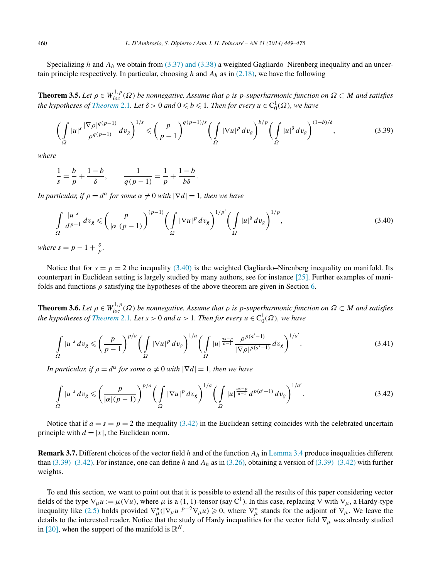Specializing *h* and *Ah* we obtain from [\(3.37\) and \(3.38\)](#page-10-0) a weighted Gagliardo–Nirenberg inequality and an uncertain principle respectively. In particular, choosing *h* and *Ah* as in [\(2.18\),](#page-6-0) we have the following

**Theorem 3.5.** Let  $\rho \in W_{loc}^{1,p}(\Omega)$  be nonnegative. Assume that  $\rho$  is p-superharmonic function on  $\Omega \subset M$  and satisfies *the hypotheses of [Theorem](#page-3-0)* 2.1*. Let*  $\delta > 0$  *and*  $0 \leqslant b \leqslant 1$ *. Then for every*  $u \in C_0^1(\Omega)$ *, we have* 

$$
\left(\int_{\Omega} |u|^s \frac{|\nabla \rho|^{q(p-1)}}{\rho^{q(p-1)}} dv_g\right)^{1/s} \leqslant \left(\frac{p}{p-1}\right)^{q(p-1)/s} \left(\int_{\Omega} |\nabla u|^p dv_g\right)^{b/p} \left(\int_{\Omega} |u|^{\delta} dv_g\right)^{(1-b)/\delta},\tag{3.39}
$$

*where*

$$
\frac{1}{s} = \frac{b}{p} + \frac{1-b}{\delta}, \qquad \frac{1}{q(p-1)} = \frac{1}{p} + \frac{1-b}{b\delta}.
$$

*In particular, if*  $\rho = d^{\alpha}$  *for some*  $\alpha \neq 0$  *with*  $|\nabla d| = 1$ *, then we have* 

$$
\int_{\Omega} \frac{|u|^s}{d^{p-1}} dv_g \leqslant \left(\frac{p}{|\alpha|(p-1)}\right)^{(p-1)} \left(\int_{\Omega} |\nabla u|^p dv_g\right)^{1/p'} \left(\int_{\Omega} |u|^{\delta} dv_g\right)^{1/p},\tag{3.40}
$$

*where*  $s = p - 1 + \frac{\delta}{p}$ .

Notice that for  $s = p = 2$  the inequality (3.40) is the weighted Gagliardo–Nirenberg inequality on manifold. Its counterpart in Euclidean setting is largely studied by many authors, see for instance [\[25\].](#page-25-0) Further examples of manifolds and functions  $\rho$  satisfying the hypotheses of the above theorem are given in Section [6.](#page-17-0)

**Theorem 3.6.** Let  $\rho \in W^{1,p}_{loc}(\Omega)$  be nonnegative. Assume that  $\rho$  is p-superharmonic function on  $\Omega \subset M$  and satisfies *the hypotheses of [Theorem](#page-3-0)* 2.1*. Let*  $s > 0$  *and*  $a > 1$ *. Then for every*  $u \in C_0^1(\Omega)$ *, we have* 

$$
\int_{\Omega} |u|^s \, dv_g \leqslant \left(\frac{p}{p-1}\right)^{p/a} \left(\int_{\Omega} |\nabla u|^p \, dv_g\right)^{1/a} \left(\int_{\Omega} |u|^{\frac{as-p}{a-1}} \frac{\rho^{p(a'-1)}}{|\nabla \rho|^{p(a'-1)}} \, dv_g\right)^{1/a'}.
$$
\n(3.41)

*In particular, if*  $\rho = d^{\alpha}$  *for some*  $\alpha \neq 0$  *with*  $|\nabla d| = 1$ *, then we have* 

$$
\int_{\Omega} |u|^s \, dv_g \leqslant \left(\frac{p}{|\alpha|(p-1)}\right)^{p/a} \left(\int_{\Omega} |\nabla u|^p \, dv_g\right)^{1/a} \left(\int_{\Omega} |u|^{\frac{as-p}{a-1}} d^{p(a'-1)} \, dv_g\right)^{1/a'}.
$$
\n(3.42)

Notice that if  $a = s = p = 2$  the inequality (3.42) in the Euclidean setting coincides with the celebrated uncertain principle with  $d = |x|$ , the Euclidean norm.

**Remark 3.7.** Different choices of the vector field *h* and of the function *Ah* in [Lemma 3.4](#page-10-0) produce inequalities different than (3.39)–(3.42). For instance, one can define *h* and *Ah* as in [\(3.26\),](#page-8-0) obtaining a version of (3.39)–(3.42) with further weights.

To end this section, we want to point out that it is possible to extend all the results of this paper considering vector fields of the type  $\nabla_{\mu} u := \mu(\nabla u)$ , where  $\mu$  is a (1, 1)-tensor (say C<sup>1</sup>). In this case, replacing  $\nabla$  with  $\nabla_{\mu}$ , a Hardy-type inequality like [\(2.5\)](#page-3-0) holds provided  $\nabla^*_{\mu}(|\nabla_{\mu}u|^{p-2}\nabla_{\mu}u) \geq 0$ , where  $\nabla^*_{\mu}$  stands for the adjoint of  $\nabla_{\mu}$ . We leave the details to the interested reader. Notice that the study of Hardy inequalities for the vector field ∇*<sup>μ</sup>* was already studied in [\[20\],](#page-25-0) when the support of the manifold is  $\mathbb{R}^N$ .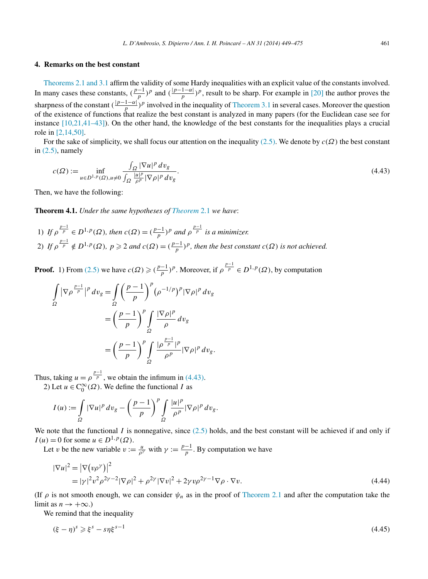#### <span id="page-12-0"></span>**4. Remarks on the best constant**

[Theorems 2.1 and 3.1](#page-3-0) affirm the validity of some Hardy inequalities with an explicit value of the constants involved. In many cases these constants,  $(\frac{p-1}{p})^p$  and  $(\frac{|p-1-\alpha|}{p})^p$ , result to be sharp. For example in [\[20\]](#page-25-0) the author proves the sharpness of the constant  $(\frac{|p-1-\alpha|}{p})^p$  involved in the inequality of [Theorem 3.1](#page-8-0) in several cases. Moreover the question of the existence of functions that realize the best constant is analyzed in many papers (for the Euclidean case see for instance  $[10,21,41-43]$ ). On the other hand, the knowledge of the best constants for the inequalities plays a crucial role in [\[2,14,50\].](#page-25-0)

For the sake of simplicity, we shall focus our attention on the inequality [\(2.5\).](#page-3-0) We denote by *c(Ω)* the best constant in  $(2.5)$ , namely

$$
c(\Omega) := \inf_{u \in D^{1,p}(\Omega), u \neq 0} \frac{\int_{\Omega} |\nabla u|^p \, dv_g}{\int_{\Omega} \frac{|u|^p}{\rho^p} |\nabla \rho|^p \, dv_g}.
$$
\n
$$
(4.43)
$$

Then, we have the following:

**Theorem 4.1.** *Under the same hypotheses of [Theorem](#page-3-0)* 2.1 *we have*:

1) *If*  $\rho \frac{p-1}{p} \in D^{1,p}(\Omega)$ *, then*  $c(\Omega) = (\frac{p-1}{p})^p$  and  $\rho \frac{p-1}{p}$  is a minimizer. 2) If  $\rho \frac{p-1}{p} \notin D^{1,p}(\Omega)$ ,  $p \geq 2$  and  $c(\Omega) = (\frac{p-1}{p})^p$ , then the best constant  $c(\Omega)$  is not achieved.

**Proof.** 1) From [\(2.5\)](#page-3-0) we have  $c(\Omega) \geqslant \left(\frac{p-1}{p}\right)^p$ . Moreover, if  $\rho^{\frac{p-1}{p}} \in D^{1,p}(\Omega)$ , by computation

$$
\int_{\Omega} |\nabla \rho^{\frac{p-1}{p}}|^p dv_g = \int_{\Omega} \left(\frac{p-1}{p}\right)^p (\rho^{-1/p})^p |\nabla \rho|^p dv_g
$$

$$
= \left(\frac{p-1}{p}\right)^p \int_{\Omega} \frac{|\nabla \rho|^p}{\rho} dv_g
$$

$$
= \left(\frac{p-1}{p}\right)^p \int_{\Omega} \frac{|\rho^{\frac{p-1}{p}}|^p}{\rho^p} |\nabla \rho|^p dv_g.
$$

Thus, taking  $u = \rho^{\frac{p-1}{p}}$ , we obtain the infimum in (4.43). 2) Let  $u \in C_0^{\infty}(\Omega)$ . We define the functional *I* as

$$
I(u) := \int_{\Omega} |\nabla u|^p \, dv_g - \left(\frac{p-1}{p}\right)^p \int_{\Omega} \frac{|u|^p}{\rho^p} |\nabla \rho|^p \, dv_g.
$$

We note that the functional  $I$  is nonnegative, since  $(2.5)$  holds, and the best constant will be achieved if and only if  $I(u) = 0$  for some  $u \in D^{1,p}(\Omega)$ .

Let *v* be the new variable  $v := \frac{u}{\rho^{\gamma}}$  with  $\gamma := \frac{p-1}{p}$ . By computation we have

$$
|\nabla u|^2 = |\nabla (v\rho^\gamma)|^2
$$
  
=  $|\gamma|^2 v^2 \rho^{2\gamma - 2} |\nabla \rho|^2 + \rho^{2\gamma} |\nabla v|^2 + 2\gamma v \rho^{2\gamma - 1} \nabla \rho \cdot \nabla v.$  (4.44)

(If  $\rho$  is not smooth enough, we can consider  $\psi_n$  as in the proof of [Theorem 2.1](#page-3-0) and after the computation take the limit as  $n \to +\infty$ .)

We remind that the inequality

$$
(\xi - \eta)^s \geqslant \xi^s - s\eta \xi^{s-1} \tag{4.45}
$$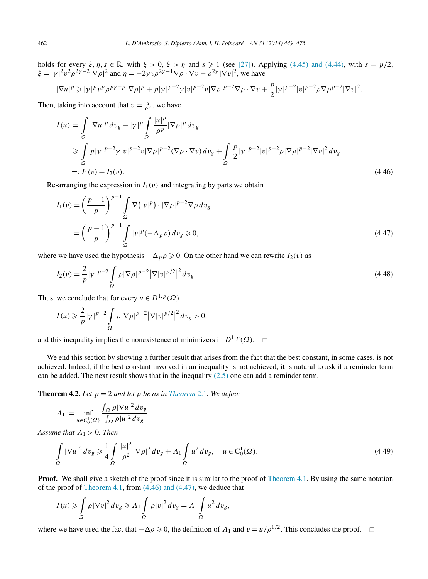<span id="page-13-0"></span>holds for every  $\xi, \eta, s \in \mathbb{R}$ , with  $\xi > 0$ ,  $\xi > \eta$  and  $s \ge 1$  (see [\[27\]\)](#page-25-0). Applying [\(4.45\) and \(4.44\),](#page-12-0) with  $s = p/2$ ,  $\xi = |\gamma|^2 v^2 \rho^{2\gamma - 2} |\nabla \rho|^2$  and  $\eta = -2\gamma v \rho^{2\gamma - 1} \nabla \rho \cdot \nabla v - \rho^{2\gamma} |\nabla v|^2$ , we have

$$
|\nabla u|^p \geq |\gamma|^p v^p \rho^{p\gamma-p} |\nabla \rho|^p + p |\gamma|^{p-2} \gamma |v|^{p-2} v |\nabla \rho|^{p-2} \nabla \rho \cdot \nabla v + \frac{p}{2} |\gamma|^{p-2} |v|^{p-2} \rho \nabla \rho^{p-2} |\nabla v|^2.
$$

Then, taking into account that  $v = \frac{u}{\rho^{\gamma}}$ , we have

$$
I(u) = \int_{\Omega} |\nabla u|^p \, dv_g - |\gamma|^p \int_{\Omega} \frac{|u|^p}{\rho^p} |\nabla \rho|^p \, dv_g
$$
  
\n
$$
\geq \int_{\Omega} p|\gamma|^{p-2} \gamma |v|^{p-2} v |\nabla \rho|^{p-2} (\nabla \rho \cdot \nabla v) \, dv_g + \int_{\Omega} \frac{p}{2} |\gamma|^{p-2} |v|^{p-2} \rho |\nabla \rho|^{p-2} |\nabla v|^2 \, dv_g
$$
  
\n
$$
=: I_1(v) + I_2(v). \tag{4.46}
$$

Re-arranging the expression in  $I_1(v)$  and integrating by parts we obtain

$$
I_1(v) = \left(\frac{p-1}{p}\right)^{p-1} \int_{\Omega} \nabla \left(|v|^p\right) \cdot |\nabla \rho|^{p-2} \nabla \rho \, dv_g
$$
  

$$
= \left(\frac{p-1}{p}\right)^{p-1} \int_{\Omega} |v|^p (-\Delta_p \rho) \, dv_g \ge 0,
$$
 (4.47)

where we have used the hypothesis  $-\Delta_p \rho \geq 0$ . On the other hand we can rewrite  $I_2(v)$  as

$$
I_2(v) = \frac{2}{p} |\gamma|^{p-2} \int_{\Omega} \rho |\nabla \rho|^{p-2} |\nabla |v|^{p/2}|^2 dv_g.
$$
\n(4.48)

Thus, we conclude that for every  $u \in D^{1,p}(\Omega)$ 

$$
I(u) \geqslant \frac{2}{p} |\gamma|^{p-2} \int\limits_{\Omega} \rho |\nabla \rho|^{p-2} |\nabla |v|^{p/2}|^2 dv_g > 0,
$$

and this inequality implies the nonexistence of minimizers in  $D^{1,p}(\Omega)$ .  $\Box$ 

We end this section by showing a further result that arises from the fact that the best constant, in some cases, is not achieved. Indeed, if the best constant involved in an inequality is not achieved, it is natural to ask if a reminder term can be added. The next result shows that in the inequality  $(2.5)$  one can add a reminder term.

**[Theorem](#page-3-0) 4.2.** *Let*  $p = 2$  *and let*  $\rho$  *be as in Theorem 2.1. We define* 

$$
\Lambda_1 := \inf_{u \in C_0^1(\Omega)} \frac{\int_{\Omega} \rho |\nabla u|^2 dv_g}{\int_{\Omega} \rho |u|^2 dv_g}.
$$

*Assume that*  $\Lambda_1 > 0$ *. Then* 

$$
\int_{\Omega} |\nabla u|^2 dv_g \geq \frac{1}{4} \int_{\Omega} \frac{|u|^2}{\rho^2} |\nabla \rho|^2 dv_g + A_1 \int_{\Omega} u^2 dv_g, \quad u \in C_0^1(\Omega). \tag{4.49}
$$

**Proof.** We shall give a sketch of the proof since it is similar to the proof of [Theorem 4.1.](#page-12-0) By using the same notation of the proof of [Theorem 4.1,](#page-12-0) from (4.46) and (4.47), we deduce that

$$
I(u) \geqslant \int_{\Omega} \rho |\nabla v|^2 dv_g \geqslant \Lambda_1 \int_{\Omega} \rho |v|^2 dv_g = \Lambda_1 \int_{\Omega} u^2 dv_g,
$$

where we have used the fact that  $-\Delta \rho \ge 0$ , the definition of  $\Lambda_1$  and  $v = u/\rho^{1/2}$ . This concludes the proof.  $\Box$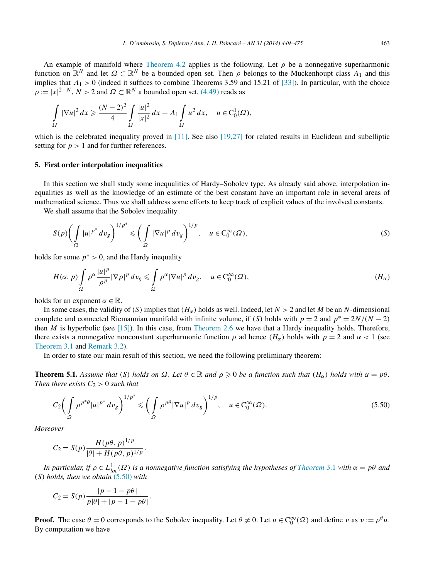<span id="page-14-0"></span>An example of manifold where [Theorem 4.2](#page-13-0) applies is the following. Let  $\rho$  be a nonnegative superharmonic function on  $\mathbb{R}^N$  and let  $\Omega \subset \mathbb{R}^N$  be a bounded open set. Then  $\rho$  belongs to the Muckenhoupt class  $A_1$  and this implies that  $\Lambda_1 > 0$  (indeed it suffices to combine Theorems 3.59 and 15.21 of [\[33\]\)](#page-25-0). In particular, with the choice  $\rho := |x|^{2-N}$ ,  $N > 2$  and  $\Omega \subset \mathbb{R}^N$  a bounded open set, [\(4.49\)](#page-13-0) reads as

$$
\int_{\Omega} |\nabla u|^2 dx \ge \frac{(N-2)^2}{4} \int_{\Omega} \frac{|u|^2}{|x|^2} dx + \Lambda_1 \int_{\Omega} u^2 dx, \quad u \in C_0^1(\Omega),
$$

which is the celebrated inequality proved in [\[11\].](#page-25-0) See also [\[19,27\]](#page-25-0) for related results in Euclidean and subelliptic setting for  $p > 1$  and for further references.

#### **5. First order interpolation inequalities**

In this section we shall study some inequalities of Hardy–Sobolev type. As already said above, interpolation inequalities as well as the knowledge of an estimate of the best constant have an important role in several areas of mathematical science. Thus we shall address some efforts to keep track of explicit values of the involved constants.

We shall assume that the Sobolev inequality

$$
S(p)\left(\int_{\Omega} |u|^{p^*} dv_g\right)^{1/p^*} \leqslant \left(\int_{\Omega} |\nabla u|^p dv_g\right)^{1/p}, \quad u \in C_0^{\infty}(\Omega),\tag{S}
$$

holds for some  $p^* > 0$ , and the Hardy inequality

$$
H(\alpha, p) \int_{\Omega} \rho^{\alpha} \frac{|u|^p}{\rho^p} |\nabla \rho|^p \, dv_g \leq \int_{\Omega} \rho^{\alpha} |\nabla u|^p \, dv_g, \quad u \in C_0^{\infty}(\Omega), \tag{H_{\alpha}}
$$

holds for an exponent  $\alpha \in \mathbb{R}$ .

In some cases, the validity of *(S)* implies that  $(H_\alpha)$  holds as well. Indeed, let  $N > 2$  and let *M* be an *N*-dimensional complete and connected Riemannian manifold with infinite volume, if *(S)* holds with  $p = 2$  and  $p^* = \frac{2N}{N-2}$ then *M* is hyperbolic (see [\[15\]\)](#page-25-0). In this case, from [Theorem 2.6](#page-4-0) we have that a Hardy inequality holds. Therefore, there exists a nonnegative nonconstant superharmonic function  $\rho$  ad hence  $(H_{\alpha})$  holds with  $p = 2$  and  $\alpha < 1$  (see [Theorem 3.1](#page-8-0) and [Remark 3.2\)](#page-9-0).

In order to state our main result of this section, we need the following preliminary theorem:

**Theorem 5.1.** Assume that (S) holds on  $\Omega$ . Let  $\theta \in \mathbb{R}$  and  $\rho \geq 0$  be a function such that  $(H_{\alpha})$  holds with  $\alpha = p\theta$ . *Then there exists*  $C_2 > 0$  *such that* 

$$
C_2 \bigg(\int\limits_{\Omega} \rho^{p^*\theta} |u|^{p^*} dv_g\bigg)^{1/p^*} \leqslant \bigg(\int\limits_{\Omega} \rho^{p\theta} |\nabla u|^p dv_g\bigg)^{1/p}, \quad u \in C_0^{\infty}(\Omega). \tag{5.50}
$$

*Moreover*

$$
C_2 = S(p) \frac{H(p\theta, p)^{1/p}}{|\theta| + H(p\theta, p)^{1/p}}.
$$

*In particular, if*  $\rho \in L^1_{loc}(\Omega)$  *is a nonnegative function satisfying the hypotheses of [Theorem](#page-8-0)* 3.1 *with*  $\alpha = p\theta$  *and (S) holds, then we obtain* (5.50) *with*

$$
C_2 = S(p) \frac{|p - 1 - p\theta|}{p|\theta| + |p - 1 - p\theta|}.
$$

**Proof.** The case  $\theta = 0$  corresponds to the Sobolev inequality. Let  $\theta \neq 0$ . Let  $u \in C_0^{\infty}(\Omega)$  and define *v* as  $v := \rho^{\theta}u$ . By computation we have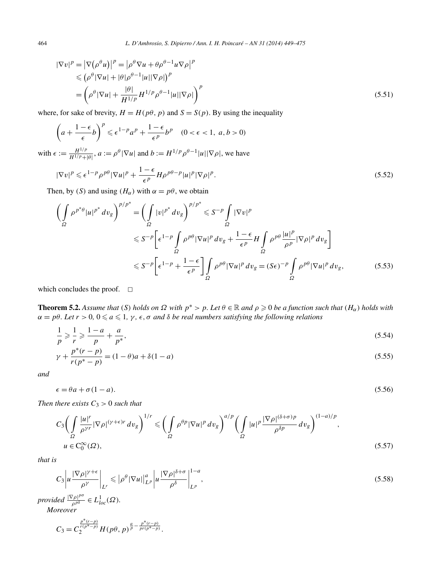<span id="page-15-0"></span>
$$
|\nabla v|^p = |\nabla (\rho^\theta u)|^p = |\rho^\theta \nabla u + \theta \rho^{\theta-1} u \nabla \rho|^p
$$
  
\n
$$
\leq (\rho^\theta |\nabla u| + |\theta| \rho^{\theta-1} |u| |\nabla \rho|)^p
$$
  
\n
$$
= \left(\rho^\theta |\nabla u| + \frac{|\theta|}{H^{1/p}} H^{1/p} \rho^{\theta-1} |u| |\nabla \rho|\right)^p
$$
\n(5.51)

where, for sake of brevity,  $H = H(p\theta, p)$  and  $S = S(p)$ . By using the inequality

$$
\left(a + \frac{1 - \epsilon}{\epsilon}b\right)^p \leqslant \epsilon^{1-p}a^p + \frac{1 - \epsilon}{\epsilon^p}b^p \quad (0 < \epsilon < 1, \ a, b > 0)
$$

with  $\epsilon := \frac{H^{1/p}}{H^{1/p+|\theta|}}, a := \rho^{\theta} |\nabla u|$  and  $b := H^{1/p} \rho^{\theta-1} |u||\nabla \rho|$ , we have

$$
|\nabla v|^p \leqslant \epsilon^{1-p} \rho^{p\theta} |\nabla u|^p + \frac{1-\epsilon}{\epsilon^p} H \rho^{p\theta-p} |u|^p |\nabla \rho|^p. \tag{5.52}
$$

Then, by *(S)* and using  $(H_{\alpha})$  with  $\alpha = p\theta$ , we obtain

$$
\left(\int_{\Omega} \rho^{p^*\theta} |u|^{p^*} dv_g\right)^{p/p^*} = \left(\int_{\Omega} |v|^{p^*} dv_g\right)^{p/p^*} \leqslant S^{-p} \int_{\Omega} |\nabla v|^p
$$
\n
$$
\leqslant S^{-p} \Bigg[\epsilon^{1-p} \int_{\Omega} \rho^{p\theta} |\nabla u|^p dv_g + \frac{1-\epsilon}{\epsilon^p} H \int_{\Omega} \rho^{p\theta} \frac{|u|^p}{\rho^p} |\nabla \rho|^p dv_g\Bigg]
$$
\n
$$
\leqslant S^{-p} \Bigg[\epsilon^{1-p} + \frac{1-\epsilon}{\epsilon^p} \Bigg] \int_{\Omega} \rho^{p\theta} |\nabla u|^p dv_g = (S\epsilon)^{-p} \int_{\Omega} \rho^{p\theta} |\nabla u|^p dv_g, \tag{5.53}
$$

which concludes the proof.  $\square$ 

**Theorem 5.2.** Assume that (S) holds on  $\Omega$  with  $p^* > p$ . Let  $\theta \in \mathbb{R}$  and  $\rho \geq 0$  be a function such that  $(H_\alpha)$  holds with  $\alpha = p\theta$ . Let  $r > 0$ ,  $0 \le a \le 1$ ,  $\gamma$ ,  $\epsilon$ ,  $\sigma$  *and*  $\delta$  *be real numbers satisfying the following relations* 

$$
\frac{1}{p} \geqslant \frac{1}{r} \geqslant \frac{1-a}{p} + \frac{a}{p^*},\tag{5.54}
$$

$$
\gamma + \frac{p^*(r-p)}{r(p^*-p)} = (1-\theta)a + \delta(1-a)
$$
\n(5.55)

*and*

 $\epsilon = \theta a + \sigma (1 - a).$  (5.56)

*Then there exists*  $C_3 > 0$  *such that* 

$$
C_3 \bigg(\int\limits_{\Omega} \frac{|u|^r}{\rho^{\gamma r}} |\nabla \rho|^{(\gamma+\epsilon)r} dv_g\bigg)^{1/r} \leq \bigg(\int\limits_{\Omega} \rho^{\theta p} |\nabla u|^p dv_g\bigg)^{a/p} \bigg(\int\limits_{\Omega} |u|^p \frac{|\nabla \rho|^{(\delta+\sigma)p}}{\rho^{\delta p}} dv_g\bigg)^{(1-a)/p},\,
$$
\n
$$
u \in C_0^{\infty}(\Omega),\tag{5.57}
$$

*that is*

$$
C_3 \left| u \frac{|\nabla \rho|^{\gamma+\epsilon}}{\rho^{\gamma}} \right|_{L^r} \leqslant \left| \rho^{\theta} |\nabla u| \right|_{L^p}^a \left| u \frac{|\nabla \rho|^{\delta+\sigma}}{\rho^{\delta}} \right|_{L^p}^{1-a},\tag{5.58}
$$

*provided*  $\frac{|\nabla \rho|^{p\sigma}}{\rho^{p\delta}} \in L^1_{loc}(\Omega)$ *.* 

*Moreover*

$$
C_3 = C_2^{\frac{p^*(r-p)}{r(p^*-p)}} H(p\theta, p)^{\frac{a}{p} - \frac{p^*(r-p)}{pr(p^*-p)}}.
$$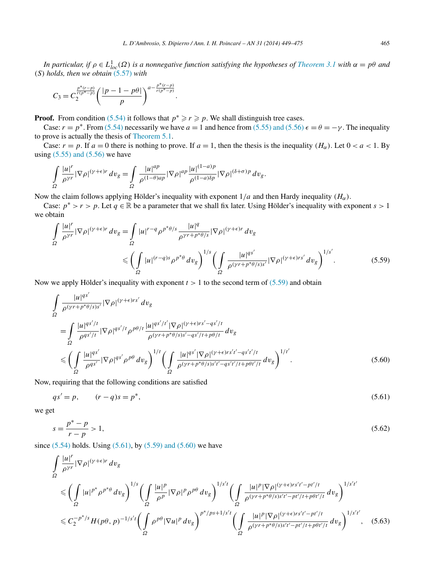<span id="page-16-0"></span>*In particular, if*  $\rho \in L^1_{loc}(\Omega)$  *is a nonnegative function satisfying the hypotheses of [Theorem 3.1](#page-8-0) with*  $\alpha = p\theta$  *and (S) holds, then we obtain* [\(5.57\)](#page-15-0) *with*

$$
C_3 = C_2^{\frac{p^*(r-p)}{r(p^*-p)}} \left( \frac{|p-1-p\theta|}{p} \right)^{a-\frac{p^*(r-p)}{r(p^*-p)}}.
$$

**Proof.** From condition [\(5.54\)](#page-15-0) it follows that  $p^* \ge r \ge p$ . We shall distinguish tree cases.

Case:  $r = p^*$ . From [\(5.54\)](#page-15-0) necessarily we have  $a = 1$  and hence from [\(5.55\) and \(5.56\)](#page-15-0)  $\epsilon = \theta = -\gamma$ . The inequality to prove is actually the thesis of [Theorem 5.1.](#page-14-0)

Case:  $r = p$ . If  $a = 0$  there is nothing to prove. If  $a = 1$ , then the thesis is the inequality  $(H_{\alpha})$ . Let  $0 < a < 1$ . By using  $(5.55)$  and  $(5.56)$  we have

$$
\int\limits_{\Omega} \frac{|u|^r}{\rho^{\gamma r}} |\nabla \rho|^{(\gamma+\epsilon)r} \, dv_g = \int\limits_{\Omega} \frac{|u|^{ap}}{\rho^{(1-\theta)ap}} |\nabla \rho|^{ap} \frac{|u|^{(1-a)p}}{\rho^{(1-a)\delta p}} |\nabla \rho|^{(\delta+\sigma)p} \, dv_g.
$$

Now the claim follows applying Hölder's inequality with exponent 1*/a* and then Hardy inequality *(Hα)*.

Case:  $p^* > r > p$ . Let  $q \in \mathbb{R}$  be a parameter that we shall fix later. Using Hölder's inequality with exponent  $s > 1$ we obtain

$$
\int_{\Omega} \frac{|u|^r}{\rho^{\gamma r}} |\nabla \rho|^{(\gamma+\epsilon)r} dv_g = \int_{\Omega} |u|^{r-q} \rho^{p^*\theta/s} \frac{|u|^q}{\rho^{\gamma r+p^*\theta/s}} |\nabla \rho|^{(\gamma+\epsilon)r} dv_g
$$
\n
$$
\leqslant \left(\int_{\Omega} |u|^{(r-q)s} \rho^{p^*\theta} dv_g\right)^{1/s} \left(\int_{\Omega} \frac{|u|^{qs'}}{\rho^{(\gamma r+p^*\theta/s)s'}} |\nabla \rho|^{(\gamma+\epsilon)r}s'} d v_g\right)^{1/s'}.
$$
\n(5.59)

Now we apply Hölder's inequality with exponent  $t > 1$  to the second term of (5.59) and obtain

$$
\int_{\Omega} \frac{|u|^{qs'}}{\rho^{(\gamma+p^*\theta/s)s'}} |\nabla \rho|^{(\gamma+\epsilon)rs'} dv_g
$$
\n
$$
= \int_{\Omega} \frac{|u|^{qs'/t}}{\rho^{qs'/t}} |\nabla \rho|^{qs'/t} \rho^{p\theta/t} \frac{|u|^{qs'/t'} |\nabla \rho|^{(\gamma+\epsilon)rs'-qs'/t}}{\rho^{(\gamma+p^*\theta/s)s'-qs'/t+p\theta/t}} dv_g
$$
\n
$$
\leqslant \left(\int_{\Omega} \frac{|u|^{qs'}}{\rho^{qs'}} |\nabla \rho|^{qs'} \rho^{p\theta} dv_g\right)^{1/t} \left(\int_{\Omega} \frac{|u|^{qs'} |\nabla \rho|^{(\gamma+\epsilon)rs't'-qs't'/t}}{\rho^{(\gamma+p^*\theta/s)s't'-qs't'/t+p\theta t'/t}} dv_g\right)^{1/t'}.
$$
\n(5.60)

Now, requiring that the following conditions are satisfied

$$
qs'=p, \t(r-q)s=p^*,
$$
\t(5.61)

we get

$$
s = \frac{p^* - p}{r - p} > 1,\tag{5.62}
$$

since  $(5.54)$  holds. Using  $(5.61)$ , by  $(5.59)$  and  $(5.60)$  we have

$$
\int_{\Omega} \frac{|u|^r}{\rho^{\gamma r}} |\nabla \rho|^{(\gamma+\epsilon)r} dv_g
$$
\n
$$
\leq \left(\int_{\Omega} |u|^{p^*} \rho^{p^*\theta} dv_g\right)^{1/s} \left(\int_{\Omega} \frac{|u|^p}{\rho^p} |\nabla \rho|^p \rho^{p\theta} dv_g\right)^{1/s't} \left(\int_{\Omega} \frac{|u|^p |\nabla \rho|^{(\gamma+\epsilon)r s't'-pt'/t}}{\rho^{(\gamma+\epsilon)r s' t'-pt'/t+p\theta t'/t}} dv_g\right)^{1/s't'}
$$
\n
$$
\leq C_2^{-p^*/s} H(p\theta, p)^{-1/s't} \left(\int_{\Omega} \rho^{p\theta} |\nabla u|^p dv_g\right)^{p^*/ps+1/s't} \left(\int_{\Omega} \frac{|u|^p |\nabla \rho|^{(\gamma+\epsilon)r s't'-pt'/t}}{\rho^{(\gamma+\epsilon)r s' t'-pt'/t+p\theta t'/t}} dv_g\right)^{1/s't'}, \quad (5.63)
$$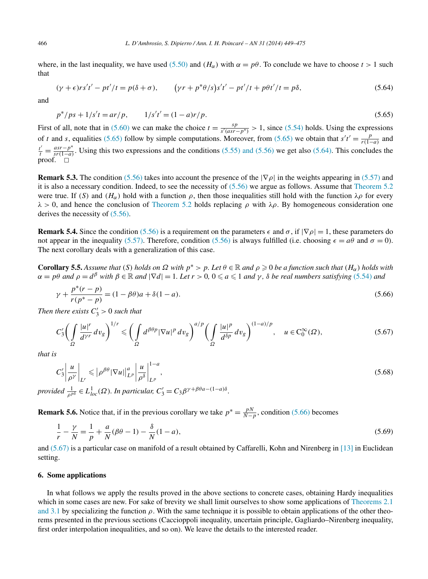<span id="page-17-0"></span>where, in the last inequality, we have used [\(5.50\)](#page-14-0) and  $(H_\alpha)$  with  $\alpha = p\theta$ . To conclude we have to choose  $t > 1$  such that

$$
(\gamma + \epsilon)rs't' - pt'/t = p(\delta + \sigma), \qquad (\gamma r + p^*\theta/s)s't' - pt'/t + p\theta t'/t = p\delta,
$$
\n(5.64)

and

$$
p^*/ps + 1/s't = ar/p, \qquad 1/s't' = (1 - a)r/p. \tag{5.65}
$$

First of all, note that in [\(5.60\)](#page-16-0) we can make the choice  $t = \frac{sp}{s'(asr - p^*)} > 1$ , since [\(5.54\)](#page-15-0) holds. Using the expressions of *t* and *s*, equalities (5.65) follow by simple computations. Moreover, from (5.65) we obtain that  $s't' = \frac{p}{r(1-p)}$  $\frac{p}{r(1-a)}$  and  $\frac{t'}{t} = \frac{asr - p^*}{sr(1-a)}$ . Using this two expressions and the conditions [\(5.55\) and \(5.56\)](#page-15-0) we get also (5.64). This concludes the proof.  $\Box$ 

**Remark 5.3.** The condition [\(5.56\)](#page-15-0) takes into account the presence of the  $|\nabla \rho|$  in the weights appearing in [\(5.57\)](#page-15-0) and it is also a necessary condition. Indeed, to see the necessity of [\(5.56\)](#page-15-0) we argue as follows. Assume that [Theorem 5.2](#page-15-0) were true. If *(S)* and  $(H_{\alpha})$  hold with a function  $\rho$ , then those inequalities still hold with the function  $\lambda \rho$  for every  $λ$  > 0, and hence the conclusion of [Theorem 5.2](#page-15-0) holds replacing  $ρ$  with  $λρ$ . By homogeneous consideration one derives the necessity of [\(5.56\).](#page-15-0)

**Remark 5.4.** Since the condition [\(5.56\)](#page-15-0) is a requirement on the parameters  $\epsilon$  and  $\sigma$ , if  $|\nabla \rho| = 1$ , these parameters do not appear in the inequality [\(5.57\).](#page-15-0) Therefore, condition [\(5.56\)](#page-15-0) is always fulfilled (i.e. choosing  $\epsilon = a\theta$  and  $\sigma = 0$ ). The next corollary deals with a generalization of this case.

**Corollary 5.5.** Assume that (S) holds on  $\Omega$  with  $p^* > p$ . Let  $\theta \in \mathbb{R}$  and  $\rho \geq 0$  be a function such that  $(H_\alpha)$  holds with  $\alpha = p\theta$  and  $\rho = d^{\beta}$  with  $\beta \in \mathbb{R}$  and  $|\nabla d| = 1$ . Let  $r > 0$ ,  $0 \le a \le 1$  and  $\gamma$ ,  $\delta$  be real numbers satisfying [\(5.54\)](#page-15-0) and

$$
\gamma + \frac{p^*(r-p)}{r(p^*-p)} = (1 - \beta \theta)a + \delta(1 - a). \tag{5.66}
$$

*Then there exists*  $C'_3 > 0$  *such that* 

$$
C_3' \bigg(\int\limits_{\Omega} \frac{|u|^r}{d^{\gamma r}} dv_g\bigg)^{1/r} \leqslant \bigg(\int\limits_{\Omega} d^{\beta \theta p} |\nabla u|^p dv_g\bigg)^{a/p} \bigg(\int\limits_{\Omega} \frac{|u|^p}{d^{\delta p}} dv_g\bigg)^{(1-a)/p}, \quad u \in C_0^{\infty}(\Omega),\tag{5.67}
$$

*that is*

$$
C_3'\left|\frac{u}{\rho^{\gamma}}\right|_{L^r} \leqslant \left|\rho^{\beta\theta}|\nabla u|\right|_{L^p}^a \left|\frac{u}{\rho^{\delta}}\right|_{L^p}^{1-a},\tag{5.68}
$$

*provided*  $\frac{1}{\rho^{p\delta}} \in L^1_{loc}(\Omega)$ *. In particular,*  $C'_3 = C_3 \beta^{\gamma + \beta \theta a - (1-a)\delta}$ *.* 

**Remark 5.6.** Notice that, if in the previous corollary we take  $p^* = \frac{pN}{N-p}$ , condition (5.66) becomes

$$
\frac{1}{r} - \frac{\gamma}{N} = \frac{1}{p} + \frac{a}{N}(\beta \theta - 1) - \frac{\delta}{N}(1 - a),
$$
\n(5.69)

and (5.67) is a particular case on manifold of a result obtained by Caffarelli, Kohn and Nirenberg in [\[13\]](#page-25-0) in Euclidean setting.

## **6. Some applications**

In what follows we apply the results proved in the above sections to concrete cases, obtaining Hardy inequalities which in some cases are new. For sake of brevity we shall limit ourselves to show some applications of [Theorems 2.1](#page-3-0) [and 3.1](#page-3-0) by specializing the function  $\rho$ . With the same technique it is possible to obtain applications of the other theorems presented in the previous sections (Caccioppoli inequality, uncertain principle, Gagliardo–Nirenberg inequality, first order interpolation inequalities, and so on). We leave the details to the interested reader.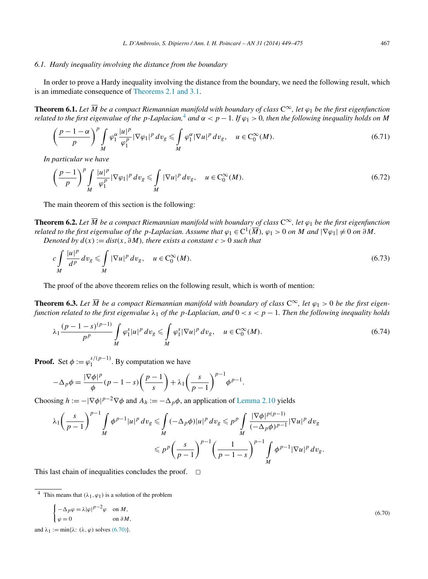# <span id="page-18-0"></span>*6.1. Hardy inequality involving the distance from the boundary*

In order to prove a Hardy inequality involving the distance from the boundary, we need the following result, which is an immediate consequence of [Theorems 2.1 and 3.1.](#page-3-0)

**Theorem 6.1.** Let  $\overline{M}$  be a compact Riemannian manifold with boundary of class  $C^{\infty}$ , let  $\varphi_1$  be the first eigenfunction *related to the first eigenvalue of the p-Laplacian*,<sup>4</sup> *and*  $\alpha < p - 1$ . If  $\varphi_1 > 0$ , *then the following inequality holds on M* 

$$
\left(\frac{p-1-\alpha}{p}\right)^p \int\limits_M \varphi_1^{\alpha} \frac{|u|^p}{\varphi_1^p} |\nabla \varphi_1|^p \, dv_g \leqslant \int\limits_M \varphi_1^{\alpha} |\nabla u|^p \, dv_g, \quad u \in C_0^{\infty}(M). \tag{6.71}
$$

*In particular we have*

$$
\left(\frac{p-1}{p}\right)^p \int\limits_M \frac{|u|^p}{\varphi_1^p} |\nabla \varphi_1|^p \, dv_g \le \int\limits_M |\nabla u|^p \, dv_g, \quad u \in C_0^\infty(M). \tag{6.72}
$$

The main theorem of this section is the following:

**Theorem 6.2.** Let  $\overline{M}$  be a compact Riemannian manifold with boundary of class  $C^{\infty}$ , let  $\varphi_1$  be the first eigenfunction *related to the first eigenvalue of the p-Laplacian. Assume that*  $\varphi_1 \in C^1(\overline{M})$ ,  $\varphi_1 > 0$  *on M* and  $|\nabla \varphi_1| \neq 0$  *on*  $\partial M$ . *Denoted by*  $d(x) := dist(x, \partial M)$ *, there exists a constant*  $c > 0$  *such that* 

$$
c\int\limits_M \frac{|u|^p}{d^p} dv_g \leqslant \int\limits_M |\nabla u|^p dv_g, \quad u \in C_0^{\infty}(M).
$$
\n
$$
(6.73)
$$

The proof of the above theorem relies on the following result, which is worth of mention:

**Theorem 6.3.** Let  $\overline{M}$  be a compact Riemannian manifold with boundary of class  $C^{\infty}$ , let  $\varphi_1 > 0$  be the first eigen*function related to the first eigenvalue*  $\lambda_1$  *of the p-Laplacian, and*  $0 \lt s \lt p - 1$ *. Then the following inequality holds* 

$$
\lambda_1 \frac{(p-1-s)^{(p-1)}}{p^p} \int_M \varphi_1^s |u|^p \, dv_g \leq \int_M \varphi_1^s |\nabla u|^p \, dv_g, \quad u \in C_0^{\infty}(M). \tag{6.74}
$$

**Proof.** Set  $\phi := \varphi_1^{s/(p-1)}$ . By computation we have

$$
-\Delta_p \phi = \frac{|\nabla \phi|^p}{\phi} (p-1-s) \left(\frac{p-1}{s}\right) + \lambda_1 \left(\frac{s}{p-1}\right)^{p-1} \phi^{p-1}.
$$

Choosing  $h := -|\nabla \phi|^{p-2} \nabla \phi$  and  $A_h := -\Delta_p \phi$ , an application of [Lemma 2.10](#page-5-0) yields

$$
\lambda_1 \left(\frac{s}{p-1}\right)^{p-1} \int_M \phi^{p-1} |u|^p dv_g \leq \int_M (-\Delta_p \phi) |u|^p dv_g \leqslant p^p \int_M \frac{|\nabla \phi|^{p(p-1)}}{(-\Delta_p \phi)^{p-1}} |\nabla u|^p dv_g
$$
  

$$
\leqslant p^p \left(\frac{s}{p-1}\right)^{p-1} \left(\frac{1}{p-1-s}\right)^{p-1} \int_M \phi^{p-1} |\nabla u|^p dv_g.
$$

This last chain of inequalities concludes the proof.  $\Box$ 

$$
\begin{cases}\n-\Delta_p \varphi = \lambda |\varphi|^{p-2} \varphi & \text{on } M, \\
\varphi = 0 & \text{on } \partial M,\n\end{cases}
$$

and  $\lambda_1 := \min{\{\lambda: (\lambda, \varphi) \text{ solves } (6.70)\}}$ .

(6.70)

<sup>&</sup>lt;sup>4</sup> This means that  $(\lambda_1, \varphi_1)$  is a solution of the problem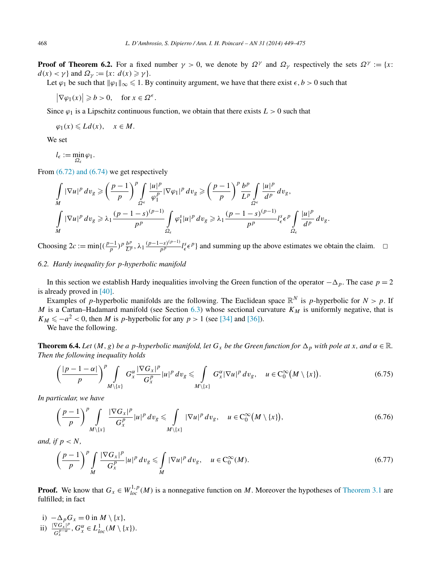<span id="page-19-0"></span>**Proof of Theorem 6.2.** For a fixed number  $\gamma > 0$ , we denote by  $\Omega^{\gamma}$  and  $\Omega_{\gamma}$  respectively the sets  $\Omega^{\gamma} := \{x :$  $d(x) < \gamma$  } and  $\Omega_{\gamma} := \{x: d(x) \geq \gamma\}.$ 

Let  $\varphi_1$  be such that  $\|\varphi_1\|_{\infty} \leq 1$ . By continuity argument, we have that there exist  $\epsilon, b > 0$  such that

 $|\nabla \varphi_1(x)| \ge b > 0$ , for  $x \in \Omega^{\epsilon}$ .

Since  $\varphi_1$  is a Lipschitz continuous function, we obtain that there exists  $L > 0$  such that

$$
\varphi_1(x) \leqslant Ld(x), \quad x \in M.
$$

We set

$$
l_{\epsilon}:=\min_{\Omega_{\epsilon}}\varphi_{1}.
$$

From  $(6.72)$  and  $(6.74)$  we get respectively

$$
\int\limits_M |\nabla u|^p dv_g \geqslant \left(\frac{p-1}{p}\right)^p \int\limits_{\Omega^\epsilon} \frac{|u|^p}{\varphi_1^p} |\nabla \varphi_1|^p dv_g \geqslant \left(\frac{p-1}{p}\right)^p \frac{b^p}{L^p} \int\limits_{\Omega^\epsilon} \frac{|u|^p}{d^p} dv_g,
$$
\n
$$
\int\limits_M |\nabla u|^p dv_g \geqslant \lambda_1 \frac{(p-1-s)^{(p-1)}}{p^p} \int\limits_{\Omega_\epsilon} \varphi_1^s |u|^p dv_g \geqslant \lambda_1 \frac{(p-1-s)^{(p-1)}}{p^p} l_\epsilon^s \epsilon^p \int\limits_{\Omega_\epsilon} \frac{|u|^p}{d^p} dv_g.
$$

Choosing  $2c := \min\{(\frac{p-1}{p})^p \frac{b^p}{L^p}, \lambda_1 \frac{(p-1-s)^{(p-1)}}{p^p} l_{\epsilon}^s \epsilon^p \}$  and summing up the above estimates we obtain the claim.  $\square$ 

# *6.2. Hardy inequality for p-hyperbolic manifold*

In this section we establish Hardy inequalities involving the Green function of the operator  $-\Delta_p$ . The case  $p = 2$ is already proved in [\[40\].](#page-25-0)

Examples of *p*-hyperbolic manifolds are the following. The Euclidean space  $\mathbb{R}^N$  is *p*-hyperbolic for  $N > p$ . If *M* is a Cartan–Hadamard manifold (see Section [6.3\)](#page-20-0) whose sectional curvature  $K_M$  is uniformly negative, that is  $K_M \leq -a^2 < 0$ , then *M* is *p*-hyperbolic for any  $p > 1$  (see [\[34\]](#page-25-0) and [\[36\]\)](#page-25-0).

We have the following.

**Theorem 6.4.** *Let*  $(M, g)$  *be a p-hyperbolic manifold, let*  $G_x$  *be the Green function for*  $\Delta_p$  *with pole at x, and*  $\alpha \in \mathbb{R}$ *. Then the following inequality holds*

$$
\left(\frac{|p-1-\alpha|}{p}\right)^p \int\limits_{M\setminus\{x\}} G_x^{\alpha} \frac{|\nabla G_x|^p}{G_x^p} |u|^p \, dv_g \leq \int\limits_{M\setminus\{x\}} G_x^{\alpha} |\nabla u|^p \, dv_g, \quad u \in C_0^{\infty}(M\setminus\{x\}).\tag{6.75}
$$

*In particular, we have*

$$
\left(\frac{p-1}{p}\right)^p \int\limits_{M\setminus\{x\}} \frac{|\nabla G_x|^p}{G_x^p} |u|^p \, dv_g \leqslant \int\limits_{M\setminus\{x\}} |\nabla u|^p \, dv_g, \quad u \in C_0^\infty(M\setminus\{x\}),\tag{6.76}
$$

*and, if*  $p < N$ *,* 

$$
\left(\frac{p-1}{p}\right)^p \int\limits_M \frac{|\nabla G_x|^p}{G_x^p} |u|^p \, dv_g \leqslant \int\limits_M |\nabla u|^p \, dv_g, \quad u \in C_0^\infty(M). \tag{6.77}
$$

**Proof.** We know that  $G_x \in W_{loc}^{1,p}(M)$  is a nonnegative function on M. Moreover the hypotheses of [Theorem 3.1](#page-8-0) are fulfilled; in fact

i)  $-\Delta_p G_x = 0$  in  $M \setminus \{x\},$ ii)  $\frac{|\nabla G_x|^{p}}{e^{p-\alpha}}$  $\frac{\nabla G_x|^p}{G_x^{p-\alpha}}$ ,  $G_x^{\alpha} \in L_{loc}^1(M \setminus \{x\})$ .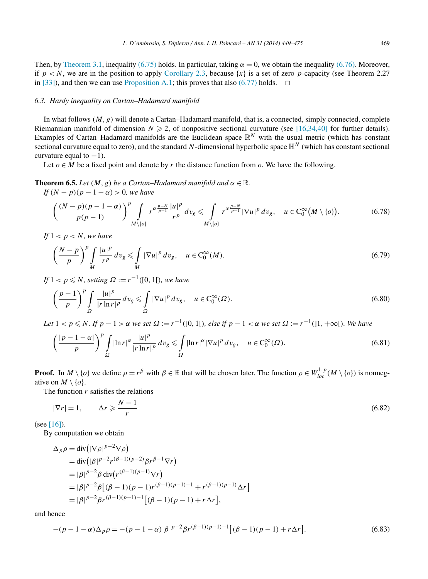<span id="page-20-0"></span>Then, by [Theorem 3.1,](#page-8-0) inequality [\(6.75\)](#page-19-0) holds. In particular, taking  $\alpha = 0$ , we obtain the inequality [\(6.76\).](#page-19-0) Moreover, if  $p < N$ , we are in the position to apply [Corollary 2.3,](#page-3-0) because  $\{x\}$  is a set of zero *p*-capacity (see Theorem 2.27 in [\[33\]\)](#page-25-0), and then we can use [Proposition A.1;](#page-24-0) this proves that also  $(6.77)$  holds.  $\Box$ 

# *6.3. Hardy inequality on Cartan–Hadamard manifold*

In what follows *(M, g)* will denote a Cartan–Hadamard manifold, that is, a connected, simply connected, complete Riemannian manifold of dimension  $N \ge 2$ , of nonpositive sectional curvature (see [\[16,34,40\]](#page-25-0) for further details). Examples of Cartan–Hadamard manifolds are the Euclidean space  $\mathbb{R}^N$  with the usual metric (which has constant sectional curvature equal to zero), and the standard N-dimensional hyperbolic space  $\mathbb{H}^N$  (which has constant sectional curvature equal to  $-1$ ).

Let  $o \in M$  be a fixed point and denote by r the distance function from o. We have the following.

**Theorem 6.5.** *Let*  $(M, g)$  *be a Cartan–Hadamard manifold and*  $\alpha \in \mathbb{R}$ *.* 

*If*  $(N - p)(p - 1 - \alpha) > 0$ *, we have* 

$$
\left(\frac{(N-p)(p-1-\alpha)}{p(p-1)}\right)^p \int\limits_{M\setminus\{o\}} r^{\alpha\frac{p-N}{p-1}} \frac{|u|^p}{r^p} dv_g \leqslant \int\limits_{M\setminus\{o\}} r^{\alpha\frac{p-N}{p-1}} |\nabla u|^p dv_g, \quad u \in C_0^\infty(M\setminus\{o\}).\tag{6.78}
$$

*If*  $1 < p < N$ *, we have* 

$$
\left(\frac{N-p}{p}\right)^p \int\limits_M \frac{|u|^p}{r^p} \, dv_g \leqslant \int\limits_M |\nabla u|^p \, dv_g, \quad u \in C_0^\infty(M). \tag{6.79}
$$

*If*  $1 < p \le N$ *, setting*  $\Omega := r^{-1}([0, 1])$ *, we have* 

$$
\left(\frac{p-1}{p}\right)^p \int\limits_{\Omega} \frac{|u|^p}{|r \ln r|^p} \, dv_g \leqslant \int\limits_{\Omega} |\nabla u|^p \, dv_g, \quad u \in C_0^{\infty}(\Omega). \tag{6.80}
$$

Let  $1 < p \le N$ . If  $p - 1 > \alpha$  we set  $\Omega := r^{-1}([0, 1])$ , else if  $p - 1 < \alpha$  we set  $\Omega := r^{-1}([1, +\infty])$ . We have

$$
\left(\frac{|p-1-\alpha|}{p}\right)^p \int\limits_{\Omega} |\ln r|^{\alpha} \frac{|u|^p}{|r \ln r|^p} \, dv_g \leqslant \int\limits_{\Omega} |\ln r|^{\alpha} |\nabla u|^p \, dv_g, \quad u \in C_0^{\infty}(\Omega). \tag{6.81}
$$

**Proof.** In  $M \setminus \{o\}$  we define  $\rho = r^{\beta}$  with  $\beta \in \mathbb{R}$  that will be chosen later. The function  $\rho \in W_{loc}^{1,p}(M \setminus \{o\})$  is nonnegative on  $M \setminus \{o\}$ .

The function *r* satisfies the relations

$$
|\nabla r| = 1, \qquad \Delta r \geqslant \frac{N-1}{r} \tag{6.82}
$$

(see [\[16\]\)](#page-25-0).

By computation we obtain

$$
\Delta_p \rho = \text{div} \left( |\nabla \rho|^{p-2} \nabla \rho \right)
$$
  
=  $\text{div} \left( |\beta|^{p-2} r^{(\beta-1)(p-2)} \beta r^{\beta-1} \nabla r \right)$   
=  $|\beta|^{p-2} \beta \text{div} \left( r^{(\beta-1)(p-1)} \nabla r \right)$   
=  $|\beta|^{p-2} \beta \left[ (\beta-1)(p-1) r^{(\beta-1)(p-1)-1} + r^{(\beta-1)(p-1)} \Delta r \right]$   
=  $|\beta|^{p-2} \beta r^{(\beta-1)(p-1)-1} \left[ (\beta-1)(p-1) + r \Delta r \right],$ 

and hence

$$
-(p-1-\alpha)\Delta_p\rho = -(p-1-\alpha)|\beta|^{p-2}\beta r^{(\beta-1)(p-1)-1}[(\beta-1)(p-1)+r\Delta r].
$$
\n(6.83)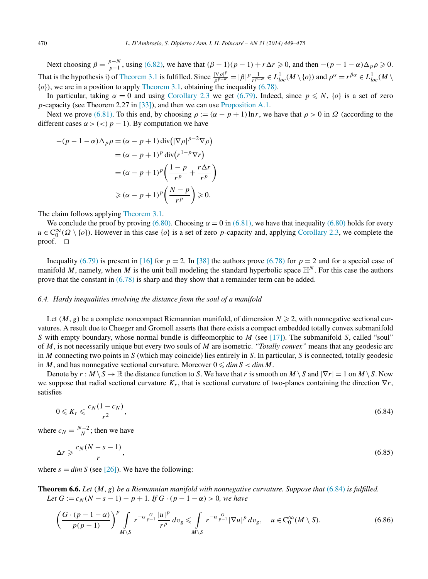<span id="page-21-0"></span>Next choosing  $\beta = \frac{p-N}{p-1}$ , using [\(6.82\),](#page-20-0) we have that  $(\beta - 1)(p - 1) + r \Delta r \ge 0$ , and then  $-(p - 1 - \alpha)\Delta_p \rho \ge 0$ . That is the hypothesis i) of [Theorem 3.1](#page-8-0) is fulfilled. Since  $\frac{|\nabla \rho|^p}{\rho^{p-\alpha}} = |\beta|^p \frac{1}{r^{p-\alpha}} \in L^1_{loc}(M \setminus \{o\})$  and  $\rho^{\alpha} = r^{\beta \alpha} \in L^1_{loc}(M \setminus \{o\})$ {*o*}*)*, we are in a position to apply [Theorem 3.1,](#page-8-0) obtaining the inequality [\(6.78\).](#page-20-0)

In particular, taking  $\alpha = 0$  and using [Corollary 2.3](#page-3-0) we get [\(6.79\).](#page-20-0) Indeed, since  $p \le N$ ,  $\{o\}$  is a set of zero *p*-capacity (see Theorem 2.27 in [\[33\]\)](#page-25-0), and then we can use [Proposition A.1.](#page-24-0)

Next we prove [\(6.81\).](#page-20-0) To this end, by choosing  $\rho := (\alpha - p + 1) \ln r$ , we have that  $\rho > 0$  in  $\Omega$  (according to the different cases  $\alpha$  > (<)  $p - 1$ ). By computation we have

$$
-(p-1-\alpha)\Delta_p \rho = (\alpha - p + 1) \operatorname{div}(|\nabla \rho|^{p-2} \nabla \rho)
$$
  

$$
= (\alpha - p + 1)^p \operatorname{div}(r^{1-p} \nabla r)
$$
  

$$
= (\alpha - p + 1)^p \left(\frac{1-p}{r^p} + \frac{r\Delta r}{r^p}\right)
$$
  

$$
\geq (\alpha - p + 1)^p \left(\frac{N-p}{r^p}\right) \geq 0.
$$

The claim follows applying [Theorem 3.1.](#page-8-0)

We conclude the proof by proving  $(6.80)$ . Choosing  $\alpha = 0$  in  $(6.81)$ , we have that inequality  $(6.80)$  holds for every  $u \in C_0^{\infty}(\Omega \setminus \{o\})$ . However in this case  $\{o\}$  is a set of zero *p*-capacity and, applying [Corollary 2.3,](#page-3-0) we complete the proof.  $\square$ 

Inequality [\(6.79\)](#page-20-0) is present in [\[16\]](#page-25-0) for  $p = 2$ . In [\[38\]](#page-25-0) the authors prove [\(6.78\)](#page-20-0) for  $p = 2$  and for a special case of manifold *M*, namely, when *M* is the unit ball modeling the standard hyperbolic space  $\mathbb{H}^N$ . For this case the authors prove that the constant in [\(6.78\)](#page-20-0) is sharp and they show that a remainder term can be added.

## *6.4. Hardy inequalities involving the distance from the soul of a manifold*

Let  $(M, g)$  be a complete noncompact Riemannian manifold, of dimension  $N \geq 2$ , with nonnegative sectional curvatures. A result due to Cheeger and Gromoll asserts that there exists a compact embedded totally convex submanifold *S* with empty boundary, whose normal bundle is diffeomorphic to *M* (see [\[17\]\)](#page-25-0). The submanifold *S*, called "soul" of *M*, is not necessarily unique but every two souls of *M* are isometric. *"Totally convex"* means that any geodesic arc in *M* connecting two points in *S* (which may coincide) lies entirely in *S*. In particular, *S* is connected, totally geodesic in *M*, and has nonnegative sectional curvature. Moreover  $0 \leq \dim S < \dim M$ .

Denote by  $r : M \setminus S \to \mathbb{R}$  the distance function to *S*. We have that *r* is smooth on  $M \setminus S$  and  $|\nabla r| = 1$  on  $M \setminus S$ . Now we suppose that radial sectional curvature *Kr*, that is sectional curvature of two-planes containing the direction ∇*r*, satisfies

$$
0 \leqslant K_r \leqslant \frac{c_N(1 - c_N)}{r^2},\tag{6.84}
$$

where  $c_N = \frac{N-2}{N}$ ; then we have

$$
\Delta r \geqslant \frac{c_N(N-s-1)}{r},\tag{6.85}
$$

where  $s = \dim S$  (see [\[26\]\)](#page-25-0). We have the following:

**Theorem 6.6.** *Let (M,g) be a Riemannian manifold with nonnegative curvature. Suppose that* (6.84) *is fulfilled. Let*  $G := c_N(N - s - 1) - p + 1$ *. If*  $G \cdot (p - 1 - \alpha) > 0$ *, we have* 

$$
\left(\frac{G\cdot(p-1-\alpha)}{p(p-1)}\right)^p \int\limits_{M\setminus S} r^{-\alpha\frac{G}{p-1}} \frac{|u|^p}{r^p} dv_g \leq \int\limits_{M\setminus S} r^{-\alpha\frac{G}{p-1}} |\nabla u|^p dv_g, \quad u \in C_0^\infty(M\setminus S). \tag{6.86}
$$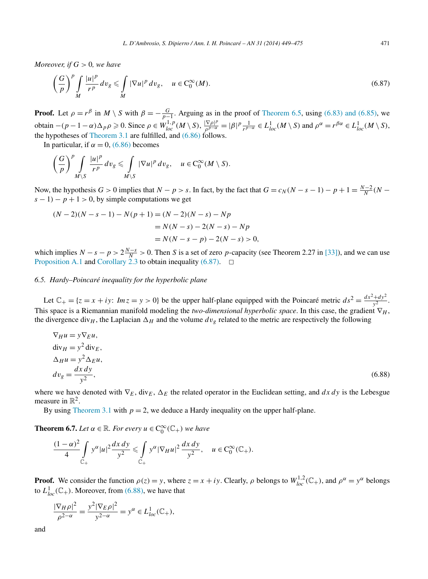*Moreover, if G >* 0*, we have*

$$
\left(\frac{G}{p}\right)^p \int\limits_M \frac{|u|^p}{r^p} \, dv_g \leqslant \int\limits_M |\nabla u|^p \, dv_g, \quad u \in C_0^\infty(M). \tag{6.87}
$$

**Proof.** Let  $\rho = r^{\beta}$  in  $M \setminus S$  with  $\beta = -\frac{G}{p-1}$ . Arguing as in the proof of [Theorem 6.5,](#page-20-0) using [\(6.83\) and \(6.85\),](#page-20-0) we obtain  $-(p-1-\alpha)\Delta_p \rho \ge 0$ . Since  $\rho \in W_{loc}^{1,p}(M \setminus S)$ ,  $\frac{|\nabla \rho|^p}{\rho^{p-\alpha}} = |\beta|^p \frac{1}{r^{p-\alpha}} \in L_{loc}^1(M \setminus S)$  and  $\rho^{\alpha} = r^{\beta \alpha} \in L_{loc}^1(M \setminus S)$ , the hypotheses of [Theorem 3.1](#page-8-0) are fulfilled, and  $(6.86)$  follows.

In particular, if  $\alpha = 0$ , [\(6.86\)](#page-21-0) becomes

$$
\left(\frac{G}{p}\right)^p \int\limits_{M\setminus S} \frac{|u|^p}{r^p}\,dv_g \leqslant \int\limits_{M\setminus S} |\nabla u|^p\,dv_g,\quad u\in C_0^\infty(M\setminus S).
$$

Now, the hypothesis *G* > 0 implies that  $N - p > s$ . In fact, by the fact that  $G = c_N(N - s - 1) - p + 1 = \frac{N-2}{N}(N - s)$  $(s - 1) - p + 1 > 0$ , by simple computations we get

$$
(N-2)(N-s-1) - N(p+1) = (N-2)(N-s) - Np
$$
  
=  $N(N-s) - 2(N-s) - Np$   
=  $N(N-s-p) - 2(N-s) > 0$ ,

which implies  $N - s - p > 2\frac{N-s}{N} > 0$ . Then *S* is a set of zero *p*-capacity (see Theorem 2.27 in [\[33\]\)](#page-25-0), and we can use [Proposition A.1](#page-24-0) and [Corollary 2.3](#page-3-0) to obtain inequality (6.87).  $\Box$ 

## *6.5. Hardy–Poincaré inequality for the hyperbolic plane*

Let  $\mathbb{C}_+ = \{z = x + iy: Im z = y > 0\}$  be the upper half-plane equipped with the Poincaré metric  $ds^2 = \frac{dx^2 + dy^2}{y^2}$ . This space is a Riemannian manifold modeling the *two-dimensional hyperbolic space*. In this case, the gradient  $\nabla_H$ , the divergence div<sub>H</sub>, the Laplacian  $\Delta_H$  and the volume  $dv_g$  related to the metric are respectively the following

$$
\nabla_{H} u = y \nabla_{E} u,
$$
  
\n
$$
\text{div}_{H} = y^{2} \text{div}_{E},
$$
  
\n
$$
\Delta_{H} u = y^{2} \Delta_{E} u,
$$
  
\n
$$
dv_{g} = \frac{dx \, dy}{y^{2}},
$$
\n(6.88)

where we have denoted with  $\nabla_E$ , div $_E$ ,  $\Delta_E$  the related operator in the Euclidean setting, and  $dx\,dy$  is the Lebesgue measure in  $\mathbb{R}^2$ .

By using [Theorem](#page-8-0) 3.1 with  $p = 2$ , we deduce a Hardy inequality on the upper half-plane.

**Theorem 6.7.** *Let*  $\alpha \in \mathbb{R}$ *. For every*  $u \in C_0^{\infty}(\mathbb{C}_+)$  *we have* 

$$
\frac{(1-\alpha)^2}{4} \int\limits_{\mathbb{C}_+} y^{\alpha} |u|^2 \frac{dx \, dy}{y^2} \leq \int\limits_{\mathbb{C}_+} y^{\alpha} |\nabla_H u|^2 \, \frac{dx \, dy}{y^2}, \quad u \in C_0^{\infty}(\mathbb{C}_+).
$$

**Proof.** We consider the function  $\rho(z) = y$ , where  $z = x + iy$ . Clearly,  $\rho$  belongs to  $W_{loc}^{1,2}(\mathbb{C}_+)$ , and  $\rho^{\alpha} = y^{\alpha}$  belongs to  $L^1_{loc}(\mathbb{C}_+)$ . Moreover, from (6.88), we have that

$$
\frac{|\nabla_H \rho|^2}{\rho^{2-\alpha}} = \frac{y^2 |\nabla_E \rho|^2}{y^{2-\alpha}} = y^{\alpha} \in L^1_{loc}(\mathbb{C}_+),
$$

and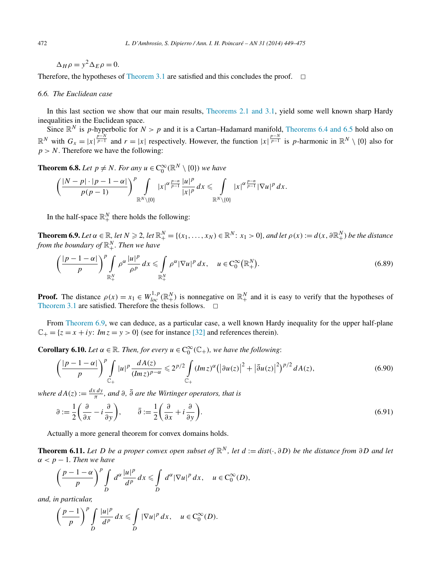$\Delta_H \rho = y^2 \Delta_E \rho = 0.$ 

Therefore, the hypotheses of [Theorem 3.1](#page-8-0) are satisfied and this concludes the proof.  $\Box$ 

# *6.6. The Euclidean case*

In this last section we show that our main results, [Theorems 2.1 and 3.1,](#page-3-0) yield some well known sharp Hardy inequalities in the Euclidean space.

Since  $\mathbb{R}^N$  is *p*-hyperbolic for  $N > p$  and it is a Cartan–Hadamard manifold, [Theorems 6.4 and 6.5](#page-19-0) hold also on  $\mathbb{R}^N$  with  $G_x = |x| \frac{p-N}{p-1}$  and  $r = |x|$  respectively. However, the function  $|x| \frac{p-N}{p-1}$  is *p*-harmonic in  $\mathbb{R}^N \setminus \{0\}$  also for  $p > N$ . Therefore we have the following:

**Theorem 6.8.** *Let*  $p \neq N$ *. For any*  $u \in C_0^{\infty}(\mathbb{R}^N \setminus \{0\})$  *we have* 

$$
\left(\frac{|N-p|\cdot|p-1-\alpha|}{p(p-1)}\right)^p\int\limits_{\mathbb{R}^N\setminus\{0\}}|x|^{\alpha\frac{p-n}{p-1}}\frac{|u|^p}{|x|^p}\,dx\leqslant\int\limits_{\mathbb{R}^N\setminus\{0\}}|x|^{\alpha\frac{p-n}{p-1}}|\nabla u|^p\,dx.
$$

In the half-space  $\mathbb{R}^N_+$  there holds the following:

**Theorem 6.9.** Let  $\alpha \in \mathbb{R}$ , let  $N \geqslant 2$ , let  $\mathbb{R}^N_+ = \{(x_1, \ldots, x_N) \in \mathbb{R}^N : x_1 > 0\}$ , and let  $\rho(x) := d(x, \partial \mathbb{R}^N_+)$  be the distance *from the boundary of* R*<sup>N</sup>* <sup>+</sup>*. Then we have*

$$
\left(\frac{|p-1-\alpha|}{p}\right)^p \int\limits_{\mathbb{R}^N_+} \rho^\alpha \frac{|u|^p}{\rho^p} dx \leqslant \int\limits_{\mathbb{R}^N_+} \rho^\alpha |\nabla u|^p dx, \quad u \in C_0^\infty(\mathbb{R}^N_+). \tag{6.89}
$$

**Proof.** The distance  $\rho(x) = x_1 \in W_{loc}^{1,p}(\mathbb{R}^N_+)$  is nonnegative on  $\mathbb{R}^N_+$  and it is easy to verify that the hypotheses of [Theorem 3.1](#page-8-0) are satisfied. Therefore the thesis follows.  $\Box$ 

From Theorem 6.9, we can deduce, as a particular case, a well known Hardy inequality for the upper half-plane  $\mathbb{C}_+ = \{z = x + iy: Im z = y > 0\}$  (see for instance [\[32\]](#page-25-0) and references therein).

**Corollary 6.10.** *Let*  $\alpha \in \mathbb{R}$ *. Then, for every*  $u \in C_0^{\infty}(\mathbb{C}_+)$ *, we have the following*:

$$
\left(\frac{|p-1-\alpha|}{p}\right)^p \int\limits_{\mathbb{C}_+} |u|^p \frac{dA(z)}{(lmz)^{p-\alpha}} \leq 2^{p/2} \int\limits_{\mathbb{C}_+} (lmz)^{\alpha} \left(|\partial u(z)|^2 + |\overline{\partial} u(z)|^2\right)^{p/2} dA(z),\tag{6.90}
$$

*where*  $dA(z) := \frac{dx dy}{\pi}$ , and  $\partial$ ,  $\overline{\partial}$  are the Wirtinger operators, that is

$$
\partial := \frac{1}{2} \left( \frac{\partial}{\partial x} - i \frac{\partial}{\partial y} \right), \qquad \bar{\partial} := \frac{1}{2} \left( \frac{\partial}{\partial x} + i \frac{\partial}{\partial y} \right).
$$
\n(6.91)

Actually a more general theorem for convex domains holds.

**Theorem 6.11.** *Let D be a* proper convex open subset of  $\mathbb{R}^N$ , let  $d := dist(\cdot, \partial D)$  *be the distance from*  $\partial D$  *and let*  $\alpha$  < *p* − 1*. Then we have* 

$$
\left(\frac{p-1-\alpha}{p}\right)^p \int\limits_D d^\alpha \frac{|u|^p}{d^p}\,dx \leq \int\limits_D d^\alpha |\nabla u|^p\,dx, \quad u\in C_0^\infty(D),
$$

*and, in particular,*

$$
\left(\frac{p-1}{p}\right)^p \int\limits_D \frac{|u|^p}{d^p}\,dx \leqslant \int\limits_D |\nabla u|^p\,dx, \quad u \in C_0^\infty(D).
$$

<span id="page-23-0"></span>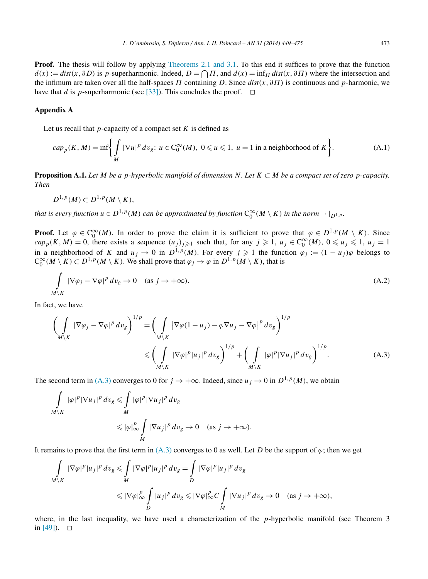<span id="page-24-0"></span>**Proof.** The thesis will follow by applying [Theorems 2.1 and 3.1.](#page-3-0) To this end it suffices to prove that the function  $d(x) := dist(x, \partial D)$  is *p*-superharmonic. Indeed,  $D = \bigcap \Pi$ , and  $d(x) = \inf \Pi \, dist(x, \partial \Pi)$  where the intersection and the infimum are taken over all the half-spaces *Π* containing *D*. Since *dist(x,∂Π)* is continuous and *p*-harmonic, we have that *d* is *p*-superharmonic (see [\[33\]\)](#page-25-0). This concludes the proof.  $\Box$ 

# **Appendix A**

Let us recall that  $p$ -capacity of a compact set  $K$  is defined as

$$
cap_p(K, M) = \inf \left\{ \int_M |\nabla u|^p \, dv_g \colon u \in C_0^{\infty}(M), \ 0 \le u \le 1, \ u = 1 \text{ in a neighborhood of } K \right\}.
$$
 (A.1)

**Proposition A.1.** Let M be a *p*-hyperbolic manifold of dimension N. Let  $K \subset M$  be a compact set of zero *p*-capacity. *Then*

$$
D^{1,p}(M)\subset D^{1,p}(M\setminus K),
$$

*that is every function*  $u \in D^{1,p}(M)$  *can be approximated by function*  $C_0^\infty(M \setminus K)$  *in the norm*  $|\cdot|_{D^{1,p}}$ *.* 

**Proof.** Let  $\varphi \in C_0^{\infty}(M)$ . In order to prove the claim it is sufficient to prove that  $\varphi \in D^{1,p}(M \setminus K)$ . Since  $cap_p(K, M) = 0$ , there exists a sequence  $(u_j)_{j \geq 1}$  such that, for any  $j \geq 1$ ,  $u_j \in C_0^{\infty}(M)$ ,  $0 \leq u_j \leq 1$ ,  $u_j = 1$ in a neighborhood of *K* and  $u_j \to 0$  in  $D^{1,p}(M)$ . For every  $j \geq 1$  the function  $\varphi_j := (1 - u_j)\varphi$  belongs to  $C_0^{\infty}(M \setminus K) \subset D^{1,p}(M \setminus K)$ . We shall prove that  $\varphi_j \to \varphi$  in  $D^{1,p}(M \setminus K)$ , that is

$$
\int_{M\setminus K} |\nabla \varphi_j - \nabla \varphi|^p \, dv_g \to 0 \quad \text{(as } j \to +\infty\text{)}.
$$
\n(A.2)

In fact, we have

$$
\left(\int\limits_{M\setminus K} |\nabla \varphi_j - \nabla \varphi|^p \, dv_g\right)^{1/p} = \left(\int\limits_{M\setminus K} |\nabla \varphi(1 - u_j) - \varphi \nabla u_j - \nabla \varphi|^p \, dv_g\right)^{1/p} \leq \left(\int\limits_{M\setminus K} |\nabla \varphi|^p |u_j|^p \, dv_g\right)^{1/p} + \left(\int\limits_{M\setminus K} |\varphi|^p |\nabla u_j|^p \, dv_g\right)^{1/p}.
$$
\n(A.3)

The second term in (A.3) converges to 0 for  $j \to +\infty$ . Indeed, since  $u_j \to 0$  in  $D^{1,p}(M)$ , we obtain

$$
\int_{M\setminus K} |\varphi|^p |\nabla u_j|^p dv_g \leq \int_M |\varphi|^p |\nabla u_j|^p dv_g
$$
  

$$
\leq |\varphi|_{\infty}^p \int_M |\nabla u_j|^p dv_g \to 0 \quad \text{(as } j \to +\infty).
$$

It remains to prove that the first term in  $(A.3)$  converges to 0 as well. Let *D* be the support of  $\varphi$ ; then we get

$$
\int_{M\setminus K} |\nabla \varphi|^p |u_j|^p dv_g \le \int_M |\nabla \varphi|^p |u_j|^p dv_g = \int_D |\nabla \varphi|^p |u_j|^p dv_g
$$
  

$$
\le |\nabla \varphi|_{\infty}^p \int_D |u_j|^p dv_g \le |\nabla \varphi|_{\infty}^p C \int_M |\nabla u_j|^p dv_g \to 0 \quad \text{(as } j \to +\infty),
$$

where, in the last inequality, we have used a characterization of the *p*-hyperbolic manifold (see Theorem 3 in  $[49]$ ).  $\Box$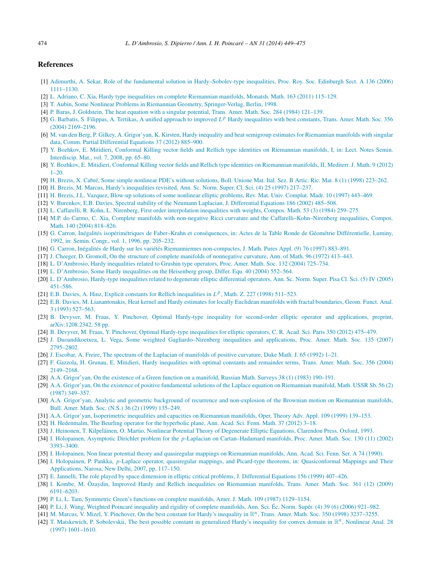## <span id="page-25-0"></span>**References**

- [1] [Adimurthi, A. Sekar, Role of the fundamental solution in Hardy–Sobolev-type inequalities, Proc. Roy. Soc. Edinburgh Sect. A 136 \(2006\)](http://refhub.elsevier.com/S0294-1449(13)00058-9/bib4153s1) [1111–1130.](http://refhub.elsevier.com/S0294-1449(13)00058-9/bib4153s1)
- [2] L. [Adriano, C. Xia, Hardy type inequalities on complete Riemannian manifolds, Monatsh. Math. 163 \(2011\) 115–129.](http://refhub.elsevier.com/S0294-1449(13)00058-9/bib4158s1)
- [3] [T. Aubin, Some Nonlinear Problems in Riemannian Geometry, Springer-Verlag, Berlin, 1998.](http://refhub.elsevier.com/S0294-1449(13)00058-9/bib4175s1)
- [4] [P. Baras, J. Goldstein, The heat equation with a singular potential, Trans. Amer. Math. Soc. 284 \(1984\) 121–139.](http://refhub.elsevier.com/S0294-1449(13)00058-9/bib4247s1)
- [5] G. Barbatis, S. Filippas, A. Tertikas, A unified approach to improved *L<sup>p</sup>* [Hardy inequalities with best constants, Trans. Amer. Math. Soc. 356](http://refhub.elsevier.com/S0294-1449(13)00058-9/bib424654s1) [\(2004\) 2169–2196.](http://refhub.elsevier.com/S0294-1449(13)00058-9/bib424654s1)
- [6] M. [van den Berg, P. Gilkey, A. Grigor'yan, K. Kirsten, Hardy inequality and heat semigroup estimates for Riemannian manifolds with singular](http://refhub.elsevier.com/S0294-1449(13)00058-9/bib4247474Bs1) [data, Comm. Partial Differential Equations 37 \(2012\) 885–900.](http://refhub.elsevier.com/S0294-1449(13)00058-9/bib4247474Bs1)
- [7] [Y. Bozhkov, E. Mitidieri, Conformal Killing vector fields and Rellich type identities on Riemannian manifolds, I, in: Lect. Notes Semin.](http://refhub.elsevier.com/S0294-1449(13)00058-9/bib424D6931s1) [Interdiscip. Mat., vol. 7, 2008, pp. 65–80.](http://refhub.elsevier.com/S0294-1449(13)00058-9/bib424D6931s1)
- [8] [Y. Bozhkov, E. Mitidieri, Conformal Killing vector fields and Rellich type identities on Riemannian manifolds, II, Mediterr. J. Math. 9 \(2012\)](http://refhub.elsevier.com/S0294-1449(13)00058-9/bib424D6932s1)  $1 - 20$ .
- [9] H. [Brezis, X. Cabré, Some simple nonlinear PDE's without solutions, Boll. Unione Mat. Ital. Sez. B Artic. Ric. Mat. 8 \(1\) \(1998\) 223–262.](http://refhub.elsevier.com/S0294-1449(13)00058-9/bib4243s1)
- [10] H. [Brezis, M. Marcus, Hardy's inequalities revisited, Ann. Sc. Norm. Super. Cl. Sci. \(4\) 25 \(1997\) 217–237.](http://refhub.elsevier.com/S0294-1449(13)00058-9/bib424Ds1)
- [11] H. [Brezis, J.L. Vazquez, Blow-up solutions of some nonlinear elliptic problems, Rev. Mat. Univ. Complut. Madr. 10 \(1997\) 443–469.](http://refhub.elsevier.com/S0294-1449(13)00058-9/bib4256s1)
- [12] [V. Burenkov, E.B. Davies, Spectral stability of the Neumann Laplacian, J. Differential Equations 186 \(2002\) 485–508.](http://refhub.elsevier.com/S0294-1449(13)00058-9/bib4244s1)
- [13] L. [Caffarelli, R. Kohn, L. Nirenberg, First order interpolation inequalities with weights, Compos. Math. 53 \(3\) \(1984\) 259–275.](http://refhub.elsevier.com/S0294-1449(13)00058-9/bib434B4Es1)
- [14] [M.P. do Carmo, C. Xia, Complete manifolds with non-negative Ricci curvature and the Caffarelli–Kohn–Nirenberg inequalities, Compos.](http://refhub.elsevier.com/S0294-1449(13)00058-9/bib4358s1) [Math. 140 \(2004\) 818–826.](http://refhub.elsevier.com/S0294-1449(13)00058-9/bib4358s1)
- [15] G. [Carron, Inégalités isopérimétriques de Faber–Krahn et conséquences, in: Actes de la Table Ronde de Géométrie Différentielle, Luminy,](http://refhub.elsevier.com/S0294-1449(13)00058-9/bib436132s1) [1992, in: Semin. Congr., vol. 1, 1996, pp. 205–232.](http://refhub.elsevier.com/S0294-1449(13)00058-9/bib436132s1)
- [16] G. [Carron, Inégalités de Hardy sur les variétés Riemanniennes non-compactes, J. Math. Pures Appl. \(9\) 76 \(1997\) 883–891.](http://refhub.elsevier.com/S0294-1449(13)00058-9/bib4361s1)
- [17] J. [Cheeger, D. Gromoll, On the structure of complete manifolds of nonnegative curvature, Ann. of Math. 96 \(1972\) 413–443.](http://refhub.elsevier.com/S0294-1449(13)00058-9/bib4347s1)
- [18] L. [D'Ambrosio, Hardy inequalities related to Grushin type operators, Proc. Amer. Math. Soc. 132 \(2004\) 725–734.](http://refhub.elsevier.com/S0294-1449(13)00058-9/bib446132s1)
- [19] L. [D'Ambrosio, Some Hardy inequalities on the Heisenberg group, Differ. Equ. 40 \(2004\) 552–564.](http://refhub.elsevier.com/S0294-1449(13)00058-9/bib446133s1)
- [20] L. [D'Ambrosio, Hardy-type inequalities related to degenerate elliptic differential operators, Ann. Sc. Norm. Super. Pisa Cl. Sci. \(5\) IV \(2005\)](http://refhub.elsevier.com/S0294-1449(13)00058-9/bib446134s1) [451–586.](http://refhub.elsevier.com/S0294-1449(13)00058-9/bib446134s1)
- [21] E.B. [Davies, A. Hinz, Explicit constants for Rellich inequalities in](http://refhub.elsevier.com/S0294-1449(13)00058-9/bib4448s1) *Lp*, Math. Z. 227 (1998) 511–523.
- [22] E.B. [Davies, M. Lianantonakis, Heat kernel and Hardy estimates for locally Euclidean manifolds with fractal boundaries, Geom. Funct. Anal.](http://refhub.elsevier.com/S0294-1449(13)00058-9/bib444Cs1) [3 \(1993\) 527–563.](http://refhub.elsevier.com/S0294-1449(13)00058-9/bib444Cs1)
- [23] B. [Devyver, M. Fraas, Y. Pinchover, Optimal Hardy-type inequality for second-order elliptic operator and applications, preprint,](http://refhub.elsevier.com/S0294-1449(13)00058-9/bib444650s1) [arXiv:1208.2342, 58 pp.](http://refhub.elsevier.com/S0294-1449(13)00058-9/bib444650s1)
- [24] B. [Devyver, M. Fraas, Y. Pinchover, Optimal Hardy-type inequalities for elliptic operators, C. R. Acad. Sci. Paris 350 \(2012\) 475–479.](http://refhub.elsevier.com/S0294-1449(13)00058-9/bib44465032s1)
- [25] J. [Duoandikoetxea, L. Vega, Some weighted Gagliardo–Nirenberg inequalities and applications, Proc. Amer. Math. Soc. 135 \(2007\)](http://refhub.elsevier.com/S0294-1449(13)00058-9/bib4456s1) [2795–2802.](http://refhub.elsevier.com/S0294-1449(13)00058-9/bib4456s1)
- [26] J. [Escobar, A. Freire, The spectrum of the Laplacian of manifolds of positive curvature, Duke Math. J. 65 \(1992\) 1–21.](http://refhub.elsevier.com/S0294-1449(13)00058-9/bib4546s1)
- [27] [F. Gazzola, H. Grunau, E. Mitidieri, Hardy inequalities with optimal constants and remainder terms, Trans. Amer. Math. Soc. 356 \(2004\)](http://refhub.elsevier.com/S0294-1449(13)00058-9/bib47474Ds1) [2149–2168.](http://refhub.elsevier.com/S0294-1449(13)00058-9/bib47474Ds1)
- [28] A.A. [Grigor'yan, On the existence of a Green function on a manifold, Russian Math. Surveys 38 \(1\) \(1983\) 190–191.](http://refhub.elsevier.com/S0294-1449(13)00058-9/bib477231s1)
- [29] A.A. [Grigor'yan, On the existence of positive fundamental solutions of the Laplace equation on Riemannian manifold, Math. USSR Sb. 56 \(2\)](http://refhub.elsevier.com/S0294-1449(13)00058-9/bib477232s1) [\(1987\) 349–357.](http://refhub.elsevier.com/S0294-1449(13)00058-9/bib477232s1)
- [30] A.A. [Grigor'yan, Analytic and geometric background of recurrence and non-explosion of the Brownian motion on Riemannian manifolds,](http://refhub.elsevier.com/S0294-1449(13)00058-9/bib477233s1) [Bull. Amer. Math. Soc. \(N.S.\) 36 \(2\) \(1999\) 135–249.](http://refhub.elsevier.com/S0294-1449(13)00058-9/bib477233s1)
- [31] A.A. [Grigor'yan, Isoperimetric inequalities and capacities on Riemannian manifolds, Oper. Theory Adv. Appl. 109 \(1999\) 139–153.](http://refhub.elsevier.com/S0294-1449(13)00058-9/bib477234s1)
- [32] H. [Hedenmalm, The Beurling operator for the hyperbolic plane, Ann. Acad. Sci. Fenn. Math. 37 \(2012\) 3–18.](http://refhub.elsevier.com/S0294-1449(13)00058-9/bib4865s1)
- [33] J. [Heinonen, T. Kilpeläinen, O. Martio, Nonlinear Potential Theory of Degenerate Elliptic Equations, Clarendon Press, Oxford, 1993.](http://refhub.elsevier.com/S0294-1449(13)00058-9/bib484B4Ds1)
- [34] I. Holopainen, Asymptotic Dirichlet problem for the *p*[-Laplacian on Cartan–Hadamard manifolds, Proc. Amer. Math. Soc. 130 \(11\) \(2002\)](http://refhub.elsevier.com/S0294-1449(13)00058-9/bib486Fs1) [3393–3400.](http://refhub.elsevier.com/S0294-1449(13)00058-9/bib486Fs1)
- [35] I. [Holopainen, Non linear potential theory and quasiregular mappings on Riemannian manifolds, Ann. Acad. Sci. Fenn. Ser. A 74 \(1990\).](http://refhub.elsevier.com/S0294-1449(13)00058-9/bib486F31s1)
- [36] I. Holopainen, P. Pankka, *p*[-Laplace operator, quasiregular mappings, and Picard-type theorems, in: Quasiconformal Mappings and Their](http://refhub.elsevier.com/S0294-1449(13)00058-9/bib4850s1) [Applications, Narosa, New Delhi, 2007, pp. 117–150.](http://refhub.elsevier.com/S0294-1449(13)00058-9/bib4850s1)
- [37] E. [Jannelli, The role played by space dimension in elliptic critical problems, J. Differential Equations 156 \(1999\) 407–426.](http://refhub.elsevier.com/S0294-1449(13)00058-9/bib4A61s1)
- [38] I. [Kombe, M. Özaydin, Improved Hardy and Rellich inequalities on Riemannian manifolds, Trans. Amer. Math. Soc. 361 \(12\) \(2009\)](http://refhub.elsevier.com/S0294-1449(13)00058-9/bib4B4Fs1) [6191–6203.](http://refhub.elsevier.com/S0294-1449(13)00058-9/bib4B4Fs1)
- [39] [P. Li, L. Tam, Symmetric Green's functions on complete manifolds, Amer. J. Math. 109 \(1987\) 1129–1154.](http://refhub.elsevier.com/S0294-1449(13)00058-9/bib4C54s1)
- [40] [P. Li, J. Wang, Weighted Poincaré inequality and rigidity of complete manifolds, Ann. Sci. Éc. Norm. Supér. \(4\) 39 \(6\) \(2006\) 921–982.](http://refhub.elsevier.com/S0294-1449(13)00058-9/bib4C57s1)
- [41] M. [Marcus, V. Mizel, Y. Pinchover, On the best constant for Hardy's inequality in](http://refhub.elsevier.com/S0294-1449(13)00058-9/bib4D4D50s1) R*n*, Trans. Amer. Math. Soc. 350 (1998) 3237–3255.
- [42] [T. Matskewich, P. Sobolevskii, The best possible constant in generalized Hardy's inequality for convex domain in](http://refhub.elsevier.com/S0294-1449(13)00058-9/bib4D5331s1) R*n*, Nonlinear Anal. 28 [\(1997\) 1601–1610.](http://refhub.elsevier.com/S0294-1449(13)00058-9/bib4D5331s1)